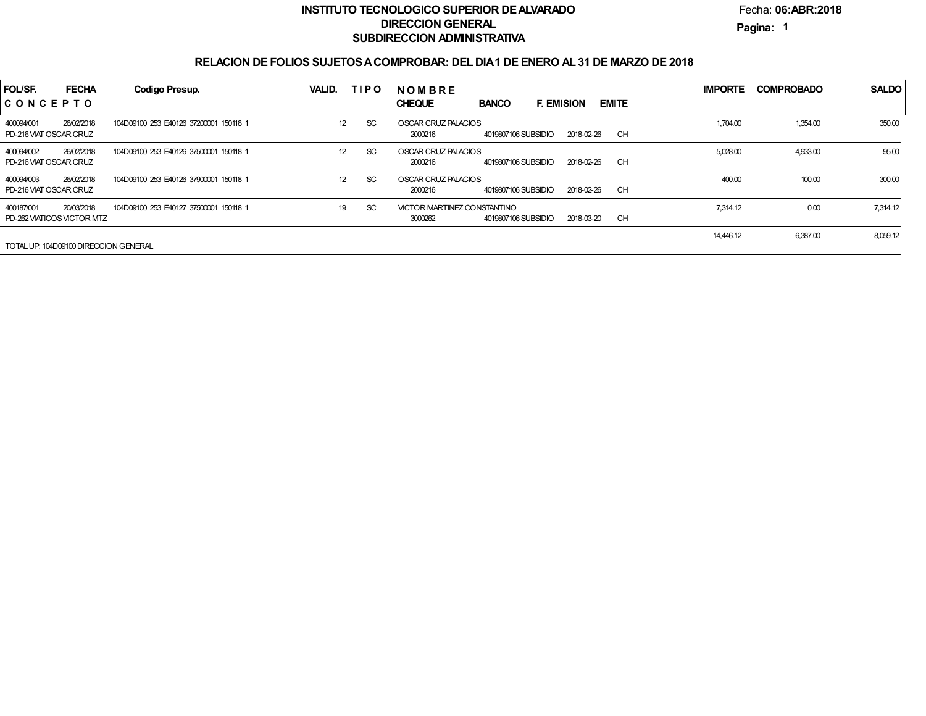Fecha:**06:ABR:2018**

**Pagina:1**

| FOL/SF.<br>CONCEPTO                      | <b>FECHA</b> | Codigo Presup.                         | VALID.          | <b>TIPO</b> | <b>NOMBRE</b><br><b>CHEQUE</b><br><b>BANCO</b><br><b>F. EMISION</b>         | <b>EMITE</b> | <b>IMPORTE</b> | <b>COMPROBADO</b> | <b>SALDO</b> |
|------------------------------------------|--------------|----------------------------------------|-----------------|-------------|-----------------------------------------------------------------------------|--------------|----------------|-------------------|--------------|
| 400094/001<br>PD-216 VIAT OSCAR CRUZ     | 26/02/2018   | 104D09100 253 E40126 37200001 150118 1 | 12 <sup>2</sup> | <b>SC</b>   | OSCAR CRUZ PALACIOS<br>4019807106 SUBSIDIO<br>2018-02-26<br>2000216         | <b>CH</b>    | 1,704.00       | 1,354.00          | 350.00       |
| 400094/002<br>PD-216 VIAT OSCAR CRUZ     | 26/02/2018   | 104D09100 253 E40126 37500001 150118 1 | 12 <sup>2</sup> | SC.         | OSCAR CRUZ PALACIOS<br>4019807106 SUBSIDIO<br>2018-02-26<br>2000216         | <b>CH</b>    | 5,028.00       | 4,933.00          | 95.00        |
| 400094/003<br>PD-216 VIAT OSCAR CRUZ     | 26/02/2018   | 104D09100 253 E40126 37900001 150118 1 | 12 <sup>2</sup> | SC.         | OSCAR CRUZ PALACIOS<br>4019807106 SUBSIDIO<br>2018-02-26<br>2000216         | <b>CH</b>    | 400.00         | 100.00            | 300.00       |
| 400187/001<br>PD-262 VIATICOS VICTOR MTZ | 20/03/2018   | 104D09100 253 E40127 37500001 150118 1 | 19              | SC.         | VICTOR MARTINEZ CONSTANTINO<br>3000262<br>4019807106 SUBSIDIO<br>2018-03-20 | <b>CH</b>    | 7.314.12       | 0.00              | 7,314.12     |
| TOTAL UP: 104D09100 DIRECCION GENERAL    |              |                                        |                 |             |                                                                             |              | 14,446.12      | 6,387.00          | 8,059.12     |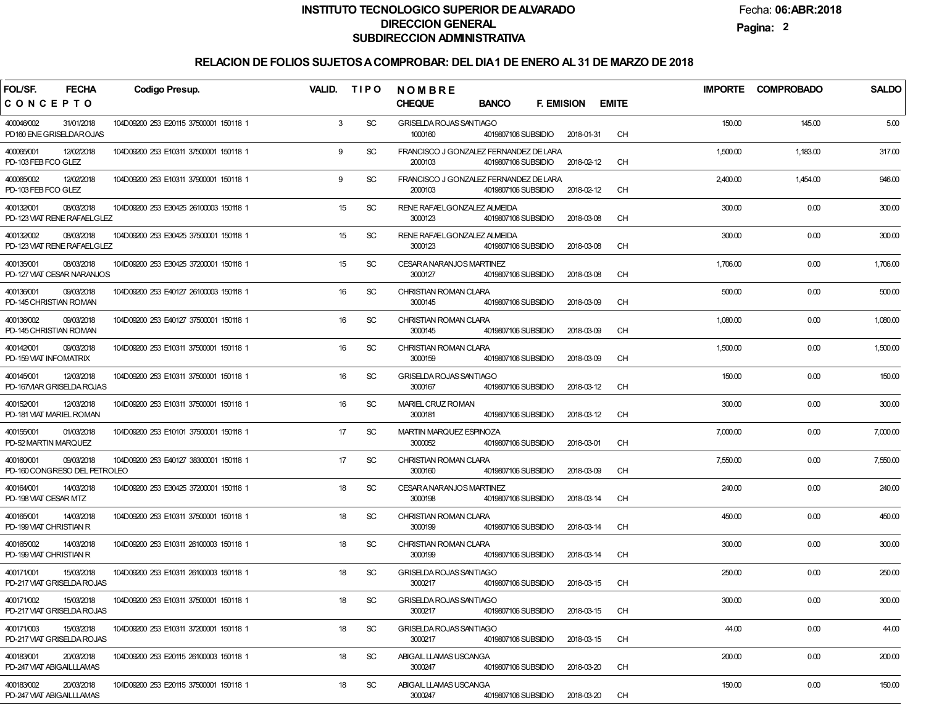Fecha:**06:ABR:2018**

**Pagina:2**

| FOL/SF.<br><b>FECHA</b><br><b>Codigo Presup.</b>                                                   | <b>VALID.</b><br><b>TIPO</b> | NOMBRE                                                                                 |              | <b>IMPORTE</b> | <b>COMPROBADO</b> | <b>SALDO</b> |
|----------------------------------------------------------------------------------------------------|------------------------------|----------------------------------------------------------------------------------------|--------------|----------------|-------------------|--------------|
| CONCEPTO                                                                                           |                              | <b>CHEQUE</b><br><b>BANCO</b><br><b>F. EMISION</b>                                     | <b>EMITE</b> |                |                   |              |
| 400046/002<br>31/01/2018<br>104D09200 253 E20115 37500001 150118 1<br>PD160 ENE GRISELDAROJAS      | 3<br><b>SC</b>               | GRISELDA ROJAS SANTIAGO<br>1000160<br>4019807106 SUBSIDIO<br>2018-01-31                | <b>CH</b>    | 150.00         | 145.00            | 5.00         |
| 400065/001<br>12/02/2018<br>104D09200 253 E10311 37500001 150118 1<br>PD-103 FEB FCO GLEZ          | <b>SC</b><br>9               | FRANCISCO J GONZALEZ FERNANDEZ DE LARA<br>2000103<br>4019807106 SUBSIDIO<br>2018-02-12 | <b>CH</b>    | 1,500.00       | 1,183.00          | 317.00       |
| 400065/002<br>12/02/2018<br>104D09200 253 E10311 37900001 150118 1<br>PD-103 FEB FCO GLEZ          | <b>SC</b><br>9               | FRANCISCO J GONZALEZ FERNANDEZ DE LARA<br>2000103<br>4019807106 SUBSIDIO<br>2018-02-12 | <b>CH</b>    | 2,400.00       | 1,454.00          | 946.00       |
| 08/03/2018<br>104D09200 253 E30425 26100003 150118 1<br>400132/001<br>PD-123 VIAT RENE RAFAELGLEZ  | <b>SC</b><br>15              | RENE RAFAELGONZALEZ ALMEIDA<br>3000123<br>4019807106 SUBSIDIO<br>2018-03-08            | <b>CH</b>    | 300.00         | 0.00              | 300.00       |
| 400132/002<br>08/03/2018<br>104D09200 253 E30425 37500001 150118 1<br>PD-123 VIAT RENE RAFAELGLEZ  | <b>SC</b><br>15              | RENE RAFAELGONZALEZ ALMEIDA<br>3000123<br>4019807106 SUBSIDIO<br>2018-03-08            | <b>CH</b>    | 300.00         | 0.00              | 300.00       |
| 400135/001<br>08/03/2018<br>104D09200 253 E30425 37200001 150118 1<br>PD-127 VIAT CESAR NARANJOS   | 15<br><b>SC</b>              | CESARA NARANJOS MARTINEZ<br>3000127<br>4019807106 SUBSIDIO<br>2018-03-08               | <b>CH</b>    | 1,706.00       | 0.00              | 1,706.00     |
| 400136/001<br>09/03/2018<br>104D09200 253 E40127 26100003 150118 1<br>PD-145 CHRISTIAN ROMAN       | 16<br><b>SC</b>              | CHRISTIAN ROMAN CLARA<br>2018-03-09<br>3000145<br>4019807106 SUBSIDIO                  | <b>CH</b>    | 500.00         | 0.00              | 500.00       |
| 400136/002<br>09/03/2018<br>104D09200 253 E40127 37500001 150118 1<br>PD-145 CHRISTIAN ROMAN       | 16<br><b>SC</b>              | CHRISTIAN ROMAN CLARA<br>3000145<br>2018-03-09<br>4019807106 SUBSIDIO                  | <b>CH</b>    | 1,080.00       | 0.00              | 1,080.00     |
| 400142/001<br>09/03/2018<br>104D09200 253 E10311 37500001 150118 1<br>PD-159 VIAT INFOMATRIX       | 16<br><b>SC</b>              | CHRISTIAN ROMAN CLARA<br>3000159<br>2018-03-09<br>4019807106 SUBSIDIO                  | <b>CH</b>    | 1,500.00       | 0.00              | 1,500.00     |
| 400145/001<br>12/03/2018<br>104D09200 253 E10311 37500001 150118 1<br>PD-167VIAR GRISELDA ROJAS    | 16<br><b>SC</b>              | GRISELDA ROJAS SANTIAGO<br>3000167<br>4019807106 SUBSIDIO<br>2018-03-12                | <b>CH</b>    | 150.00         | 0.00              | 150.00       |
| 400152/001<br>12/03/2018<br>104D09200 253 E10311 37500001 150118 1<br>PD-181 VIAT MARIEL ROMAN     | 16<br><b>SC</b>              | MARIEL CRUZ ROMAN<br>3000181<br>4019807106 SUBSIDIO<br>2018-03-12                      | <b>CH</b>    | 300.00         | 0.00              | 300.00       |
| 400155/001<br>01/03/2018<br>104D09200 253 E10101 37500001 150118 1<br>PD-52 MARTIN MARQUEZ         | 17<br><b>SC</b>              | MARTIN MARQUEZ ESPINOZA<br>3000052<br>4019807106 SUBSIDIO<br>2018-03-01                | <b>CH</b>    | 7,000.00       | 0.00              | 7,000.00     |
| 400160/001<br>09/03/2018<br>104D09200 253 E40127 38300001 150118 1<br>PD-160 CONGRESO DEL PETROLEO | 17<br><b>SC</b>              | CHRISTIAN ROMAN CLARA<br>3000160<br>4019807106 SUBSIDIO<br>2018-03-09                  | <b>CH</b>    | 7,550.00       | 0.00              | 7,550.00     |
| 400164/001<br>14/03/2018<br>104D09200 253 E30425 37200001 150118 1<br>PD-198 VIAT CESAR MTZ        | 18<br><b>SC</b>              | CESAR A NARANJOS MARTINEZ<br>3000198<br>4019807106 SUBSIDIO<br>2018-03-14              | <b>CH</b>    | 240.00         | 0.00              | 240.00       |
| 400165/001<br>14/03/2018<br>104D09200 253 E10311 37500001 150118 1<br>PD-199 VIAT CHRISTIAN R      | 18<br><b>SC</b>              | CHRISTIAN ROMAN CLARA<br>4019807106 SUBSIDIO<br>2018-03-14<br>3000199                  | <b>CH</b>    | 450.00         | 0.00              | 450.00       |
| 400165/002<br>14/03/2018<br>104D09200 253 E10311 26100003 150118 1<br>PD-199 VIAT CHRISTIAN R      | <b>SC</b><br>18              | CHRISTIAN ROMAN CLARA<br>4019807106 SUBSIDIO<br>2018-03-14<br>3000199                  | <b>CH</b>    | 300.00         | 0.00              | 300.00       |
| 400171/001<br>15/03/2018<br>104D09200 253 E10311 26100003 150118 1<br>PD-217 VIAT GRISELDA ROJAS   | SC<br>18                     | GRISELDA ROJAS SANTIAGO<br>3000217<br>4019807106 SUBSIDIO<br>2018-03-15                | <b>CH</b>    | 250.00         | 0.00              | 250.00       |
| 400171/002<br>15/03/2018<br>104D09200 253 E10311 37500001 150118 1<br>PD-217 VAT GRISELDA ROJAS    | SC<br>18                     | GRISELDA ROJAS SANTIAGO<br>3000217<br>4019807106 SUBSIDIO<br>2018-03-15                | CH           | 300.00         | 0.00              | 300.00       |
| 400171/003<br>15/03/2018<br>104D09200 253 E10311 37200001 150118 1<br>PD-217 VAT GRISELDA ROJAS    | <b>SC</b><br>18              | GRISELDA ROJAS SANTIAGO<br>3000217<br>4019807106 SUBSIDIO<br>2018-03-15                | CH           | 44.00          | 0.00              | 44.00        |
| 400183/001<br>20/03/2018<br>104D09200 253 E20115 26100003 150118 1<br>PD-247 VIAT ABIGAILLLAMAS    | <b>SC</b><br>18              | ABIGAIL LLAMAS USCANGA<br>3000247<br>4019807106 SUBSIDIO<br>2018-03-20                 | CH           | 200.00         | 0.00              | 200.00       |
| 20/03/2018<br>400183/002<br>104D09200 253 E20115 37500001 150118 1<br>PD-247 VIAT ABIGAILLLAMAS    | <b>SC</b><br>18              | ABIGAIL LLAMAS USCANGA<br>3000247<br>4019807106 SUBSIDIO<br>2018-03-20                 | CH           | 150.00         | 0.00              | 150.00       |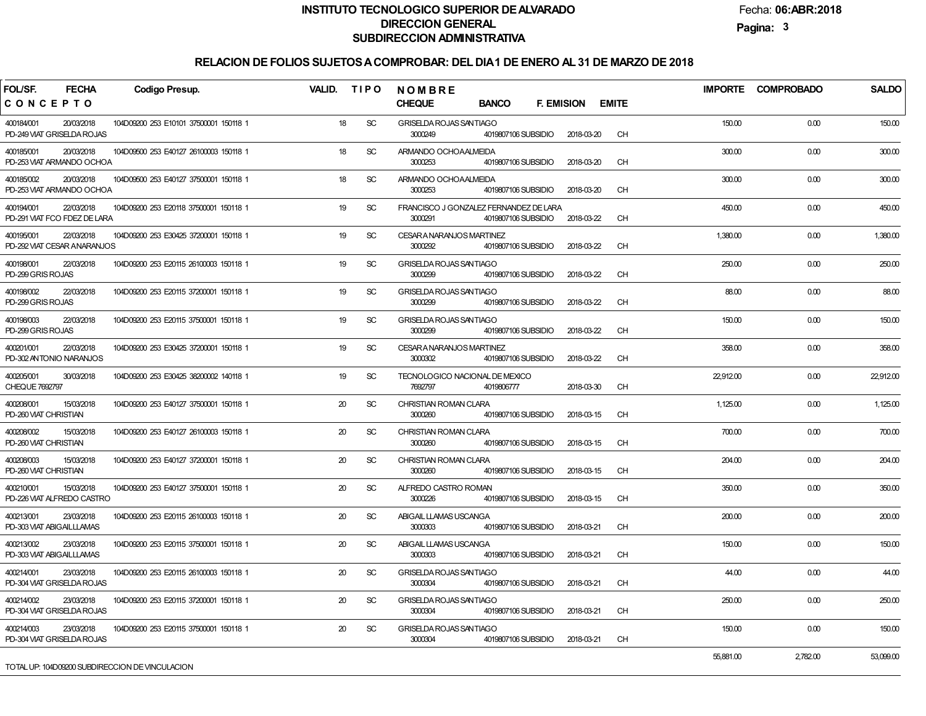Fecha:**06:ABR:2018**

**Pagina:3**

| FOL/SF.<br><b>FECHA</b>                                  | <b>Codigo Presup.</b>                  | <b>VALID.</b> | <b>TIPO</b> | <b>NOMBRE</b>                                           |                                   |              | <b>IMPORTE</b> | <b>COMPROBADO</b> | <b>SALDO</b> |
|----------------------------------------------------------|----------------------------------------|---------------|-------------|---------------------------------------------------------|-----------------------------------|--------------|----------------|-------------------|--------------|
| CONCEPTO                                                 |                                        |               |             | <b>CHEQUE</b><br><b>BANCO</b>                           | <b>F. EMISION</b>                 | <b>EMITE</b> |                |                   |              |
| 400184/001<br>20/03/2018<br>PD-249 VIAT GRISELDA ROJAS   | 104D09200 253 E10101 37500001 150118 1 | 18            | SC          | GRISELDA ROJAS SANTIAGO<br>3000249                      | 4019807106 SUBSIDIO<br>2018-03-20 | <b>CH</b>    | 150.00         | 0.00              | 150.00       |
| 400185/001<br>20/03/2018<br>PD-253 VIAT ARMANDO OCHOA    | 104D09500 253 E40127 26100003 150118 1 | 18            | SC          | ARMANDO OCHOAALMEIDA<br>3000253                         | 4019807106 SUBSIDIO<br>2018-03-20 | CH           | 300.00         | 0.00              | 300.00       |
| 20/03/2018<br>400185/002<br>PD-253 VIAT ARMANDO OCHOA    | 104D09500 253 E40127 37500001 150118 1 | 18            | SC          | ARMANDO OCHOAALMEIDA<br>3000253                         | 4019807106 SUBSIDIO<br>2018-03-20 | <b>CH</b>    | 300.00         | 0.00              | 300.00       |
| 22/03/2018<br>400194/001<br>PD-291 VIAT FCO FDEZ DE LARA | 104D09200 253 E20118 37500001 150118 1 | 19            | SC          | FRANCISCO J GONZALEZ FERNANDEZ DE LARA<br>3000291       | 4019807106 SUBSIDIO<br>2018-03-22 | <b>CH</b>    | 450.00         | 0.00              | 450.00       |
| 400195/001<br>22/03/2018<br>PD-292 VIAT CESAR ANARANJOS  | 104D09200 253 E30425 37200001 150118 1 | 19            | <b>SC</b>   | CESAR A NARANJOS MARTINEZ<br>3000292                    | 4019807106 SUBSIDIO<br>2018-03-22 | <b>CH</b>    | 1,380.00       | 0.00              | 1,380.00     |
| 22/03/2018<br>400198/001<br>PD-299 GRIS ROJAS            | 104D09200 253 E20115 26100003 150118 1 | 19            | <b>SC</b>   | GRISELDA ROJAS SANTIAGO<br>3000299                      | 2018-03-22<br>4019807106 SUBSIDIO | <b>CH</b>    | 250.00         | 0.00              | 250.00       |
| 400198/002<br>22/03/2018<br>PD-299 GRIS ROJAS            | 104D09200 253 E20115 37200001 150118 1 | 19            | <b>SC</b>   | GRISELDA ROJAS SANTIAGO<br>3000299                      | 2018-03-22<br>4019807106 SUBSIDIO | <b>CH</b>    | 88.00          | 0.00              | 88.00        |
| 22/03/2018<br>400198/003<br>PD-299 GRIS ROJAS            | 104D09200 253 E20115 37500001 150118 1 | 19            | SC          | GRISELDA ROJAS SANTIAGO<br>3000299                      | 4019807106 SUBSIDIO<br>2018-03-22 | <b>CH</b>    | 150.00         | 0.00              | 150.00       |
| 22/03/2018<br>400201/001<br>PD-302 ANTONIO NARANJOS      | 104D09200 253 E30425 37200001 150118 1 | 19            | SC          | CESARA NARANJOS MARTINEZ<br>3000302                     | 4019807106 SUBSIDIO<br>2018-03-22 | <b>CH</b>    | 358.00         | 0.00              | 358.00       |
| 400205/001<br>30/03/2018<br>CHEQUE 7692797               | 104D09200 253 E30425 38200002 140118 1 | 19            | <b>SC</b>   | TECNOLOGICO NACIONAL DE MEXICO<br>7692797<br>4019806777 | 2018-03-30                        | <b>CH</b>    | 22,912.00      | 0.00              | 22,912.00    |
| 15/03/2018<br>400208/001<br>PD-260 VIAT CHRISTIAN        | 104D09200 253 E40127 37500001 150118 1 | 20            | <b>SC</b>   | CHRISTIAN ROMAN CLARA<br>3000260                        | 4019807106 SUBSIDIO<br>2018-03-15 | CH           | 1,125.00       | 0.00              | 1,125.00     |
| 400208/002<br>15/03/2018<br>PD-260 VIAT CHRISTIAN        | 104D09200 253 E40127 26100003 150118 1 | 20            | SC          | CHRISTIAN ROMAN CLARA<br>3000260                        | 4019807106 SUBSIDIO<br>2018-03-15 | <b>CH</b>    | 700.00         | 0.00              | 700.00       |
| 15/03/2018<br>400208/003<br>PD-260 VIAT CHRISTIAN        | 104D09200 253 E40127 37200001 150118 1 | 20            | SC          | CHRISTIAN ROMAN CLARA<br>3000260                        | 4019807106 SUBSIDIO<br>2018-03-15 | <b>CH</b>    | 204.00         | 0.00              | 204.00       |
| 15/03/2018<br>400210/001<br>PD-226 VIAT ALFREDO CASTRO   | 104D09200 253 E40127 37500001 150118 1 | 20            | <b>SC</b>   | ALFREDO CASTRO ROMAN<br>3000226                         | 4019807106 SUBSIDIO<br>2018-03-15 | <b>CH</b>    | 350.00         | 0.00              | 350.00       |
| 400213/001<br>23/03/2018<br>PD-303 VIAT ABIGAILLLAMAS    | 104D09200 253 E20115 26100003 150118 1 | 20            | <b>SC</b>   | ABIGAIL LLAMAS USCANGA<br>3000303                       | 4019807106 SUBSIDIO<br>2018-03-21 | CH           | 200.00         | 0.00              | 200.00       |
| 400213/002<br>23/03/2018<br>PD-303 VIAT ABIGAILLLAMAS    | 104D09200 253 E20115 37500001 150118 1 | 20            | SC          | ABIGAIL LLAMAS USCANGA<br>3000303                       | 2018-03-21<br>4019807106 SUBSIDIO | CH           | 150.00         | 0.00              | 150.00       |
| 400214/001<br>23/03/2018<br>PD-304 VIAT GRISELDA ROJAS   | 104D09200 253 E20115 26100003 150118 1 | 20            | <b>SC</b>   | GRISELDA ROJAS SANTIAGO<br>3000304                      | 4019807106 SUBSIDIO<br>2018-03-21 | <b>CH</b>    | 44.00          | 0.00              | 44.00        |
| 400214/002<br>23/03/2018<br>PD-304 VIAT GRISELDA ROJAS   | 104D09200 253 E20115 37200001 150118 1 | 20            | SC          | GRISELDA ROJAS SANTIAGO<br>3000304                      | 4019807106 SUBSIDIO<br>2018-03-21 | <b>CH</b>    | 250.00         | 0.00              | 250.00       |
| 23/03/2018<br>400214/003<br>PD-304 VIAT GRISELDA ROJAS   | 104D09200 253 E20115 37500001 150118 1 | 20            | <b>SC</b>   | GRISELDA ROJAS SANTIAGO<br>3000304                      | 4019807106 SUBSIDIO<br>2018-03-21 | <b>CH</b>    | 150.00         | 0.00              | 150.00       |
| TOTAL UP 104D09200 SUBDIRECCION DE VINCULACION           |                                        |               |             |                                                         |                                   |              | 55,881.00      | 2,782.00          | 53,099.00    |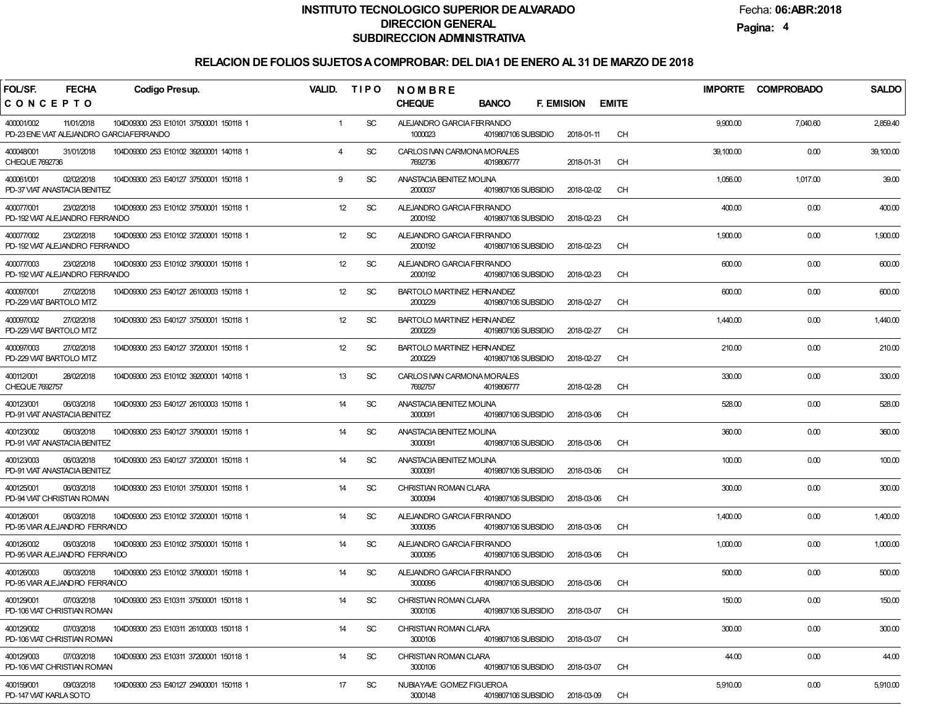Fecha:**06:ABR:2018**

**Pagina:4**

| FOL/SF.<br><b>FECHA</b>                                             | <b>Codigo Presup.</b>                  | VALID.         | <b>TIPO</b>   | NOMBRE                                                              |                   |              | <b>IMPORTE</b> | <b>COMPROBADO</b> | <b>SALDO</b> |
|---------------------------------------------------------------------|----------------------------------------|----------------|---------------|---------------------------------------------------------------------|-------------------|--------------|----------------|-------------------|--------------|
| CONCEPTO                                                            |                                        |                |               | <b>CHEQUE</b><br><b>BANCO</b>                                       | <b>F. EMISION</b> | <b>EMITE</b> |                |                   |              |
| 400001/002<br>11/01/2018<br>PD-23 ENE VIAT ALEJANDRO GARCIAFERRANDO | 104D09300 253 E10101 37500001 150118 1 | $\mathbf{1}$   | <b>SC</b>     | ALEJANDRO GARCIA FERRANDO<br>1000023<br>4019807106 SUBSIDIO         | 2018-01-11        | <b>CH</b>    | 9,900.00       | 7,040.60          | 2,859.40     |
| 400048/001<br>31/01/2018<br>CHEQUE 7692736                          | 104D09300 253 E10102 39200001 140118 1 | $\overline{4}$ | <b>SC</b>     | CARLOS IVAN CARMONA MORALES<br>7692736<br>4019806777                | 2018-01-31        | <b>CH</b>    | 39,100.00      | 0.00              | 39,100.00    |
| 400061/001<br>02/02/2018<br>PD-37 VIAT ANASTACIA BENITEZ            | 104D09300 253 E40127 37500001 150118 1 | 9              | <b>SC</b>     | ANASTACIA BENITEZ MOLINA<br>2000037<br>4019807106 SUBSIDIO          | 2018-02-02        | <b>CH</b>    | 1,056.00       | 1,017.00          | 39.00        |
| 400077/001<br>23/02/2018<br>PD-192 VIAT ALEJANDRO FERRANDO          | 104D09300 253 E10102 37500001 150118 1 | 12             | <b>SC</b>     | ALEJANDRO GARCIA FERRANDO<br>2000192<br>4019807106 SUBSIDIO         | 2018-02-23        | <b>CH</b>    | 400.00         | 0.00              | 400.00       |
| 400077/002<br>23/02/2018<br>PD-192 VIAT ALEJANDRO FERRANDO          | 104D09300 253 E10102 37200001 150118 1 | 12             | <b>SC</b>     | ALEJANDRO GARCIA FERRANDO<br>2000192<br>4019807106 SUBSIDIO         | 2018-02-23        | <b>CH</b>    | 1,900.00       | 0.00              | 1,900.00     |
| 400077/003<br>23/02/2018<br>PD-192 VIAT ALEJANDRO FERRANDO          | 104D09300 253 E10102 37900001 150118 1 | 12             | <b>SC</b>     | ALEJANDRO GARCIA FERRANDO<br>2000192<br>4019807106 SUBSIDIO         | 2018-02-23        | <b>CH</b>    | 600.00         | 0.00              | 600.00       |
| 400097/001<br>27/02/2018<br>PD-229 VIAT BARTOLO MTZ                 | 104D09300 253 E40127 26100003 150118 1 | 12             | <b>SC</b>     | <b>BARTOLO MARTINEZ HERNANDEZ</b><br>2000229<br>4019807106 SUBSIDIO | 2018-02-27        | <b>CH</b>    | 600.00         | 0.00              | 600.00       |
| 400097/002<br>27/02/2018<br>PD-229 VIAT BARTOLO MTZ                 | 104D09300 253 E40127 37500001 150118 1 | 12             | <b>SC</b>     | <b>BARTOLO MARTINEZ HERNANDEZ</b><br>2000229<br>4019807106 SUBSIDIO | 2018-02-27        | <b>CH</b>    | 1,440.00       | 0.00              | 1,440.00     |
| 400097/003<br>27/02/2018<br>PD-229 VIAT BARTOLO MTZ                 | 104D09300 253 E40127 37200001 150118 1 | 12             | <b>SC</b>     | <b>BARTOLO MARTINEZ HERNANDEZ</b><br>2000229<br>4019807106 SUBSIDIO | 2018-02-27        | <b>CH</b>    | 210.00         | 0.00              | 210.00       |
| 400112/001<br>28/02/2018<br><b>CHEQUE 7692757</b>                   | 104D09300 253 E10102 39200001 140118 1 | 13             | <b>SC</b>     | CARLOS IVAN CARMONA MORALES<br>7692757<br>4019806777                | 2018-02-28        | <b>CH</b>    | 330.00         | 0.00              | 330.00       |
| 400123/001<br>06/03/2018<br>PD-91 VIAT ANASTACIA BENITEZ            | 104D09300 253 E40127 26100003 150118 1 | 14             | <b>SC</b>     | ANASTACIA BENITEZ MOLINA<br>3000091<br>4019807106 SUBSIDIO          | 2018-03-06        | <b>CH</b>    | 528.00         | 0.00              | 528.00       |
| 400123/002<br>06/03/2018<br>PD-91 VIAT ANASTACIA BENITEZ            | 104D09300 253 E40127 37900001 150118 1 | 14             | <b>SC</b>     | ANASTACIA BENITEZ MOLINA<br>3000091<br>4019807106 SUBSIDIO          | 2018-03-06        | <b>CH</b>    | 360.00         | 0.00              | 360.00       |
| 400123/003<br>06/03/2018<br>PD-91 VIAT ANASTACIA BENITEZ            | 104D09300 253 E40127 37200001 150118 1 | 14             | <b>SC</b>     | ANASTACIA BENITEZ MOLINA<br>3000091<br>4019807106 SUBSIDIO          | 2018-03-06        | <b>CH</b>    | 100.00         | 0.00              | 100.00       |
| 400125/001<br>06/03/2018<br>PD-94 VIAT CHRISTIAN ROMAN              | 104D09300 253 E10101 37500001 150118 1 | 14             | <b>SC</b>     | CHRISTIAN ROMAN CLARA<br>3000094<br>4019807106 SUBSIDIO             | 2018-03-06        | <b>CH</b>    | 300.00         | 0.00              | 300.00       |
| 400126/001<br>06/03/2018<br>PD-95 VIAR ALEJANDRO FERRANDO           | 104D09300 253 E10102 37200001 150118 1 | 14             | <b>SC</b>     | ALEJANDRO GARCIA FERRANDO<br>3000095<br>4019807106 SUBSIDIO         | 2018-03-06        | <b>CH</b>    | 1,400.00       | 0.00              | 1,400.00     |
| 400126/002<br>06/03/2018<br>PD-95 VIAR ALEJANDRO FERRANDO           | 104D09300 253 E10102 37500001 150118 1 | 14             | <b>SC</b>     | ALEJANDRO GARCIA FERRANDO<br>3000095<br>4019807106 SUBSIDIO         | 2018-03-06        | <b>CH</b>    | 1,000.00       | 0.00              | 1,000.00     |
| 400126/003<br>06/03/2018<br>PD-95 VIAR ALEJANDRO FERRANDO           | 104D09300 253 E10102 37900001 150118 1 | 14             | <b>SC</b>     | ALEJANDRO GARCIA FERRANDO<br>3000095<br>4019807106 SUBSIDIO         | 2018-03-06        | <b>CH</b>    | 500.00         | 0.00              | 500.00       |
| 400129/001<br>07/03/2018<br>PD-106 VIAT CHRISTIAN ROMAN             | 104D09300 253 E10311 37500001 150118 1 | 14             | <sub>SC</sub> | CHRISTIAN ROMAN CLARA<br>3000106<br>4019807106 SUBSIDIO             | 2018-03-07        | <b>CH</b>    | 150.00         | 0.00              | 150.00       |
| 400129/002<br>07/03/2018<br>PD-106 VIAT CHRISTIAN ROMAN             | 104D09300 253 E10311 26100003 150118 1 | 14             | <b>SC</b>     | CHRISTIAN ROMAN CLARA<br>3000106<br>4019807106 SUBSIDIO             | 2018-03-07        | <b>CH</b>    | 300.00         | 0.00              | 300.00       |
| 400129/003<br>07/03/2018<br>PD-106 VIAT CHRISTIAN ROMAN             | 104D09300 253 E10311 37200001 150118 1 | 14             | <b>SC</b>     | CHRISTIAN ROMAN CLARA<br>3000106<br>4019807106 SUBSIDIO             | 2018-03-07        | <b>CH</b>    | 44.00          | 0.00              | 44.00        |
| 09/03/2018<br>400159/001<br>PD-147 VIAT KARLA SOTO                  | 104D09300 253 E40127 29400001 150118 1 | 17             | <b>SC</b>     | NUBIAYAVE GOMEZ FIGUEROA<br>3000148<br>4019807106 SUBSIDIO          | 2018-03-09        | <b>CH</b>    | 5,910.00       | 0.00              | 5,910.00     |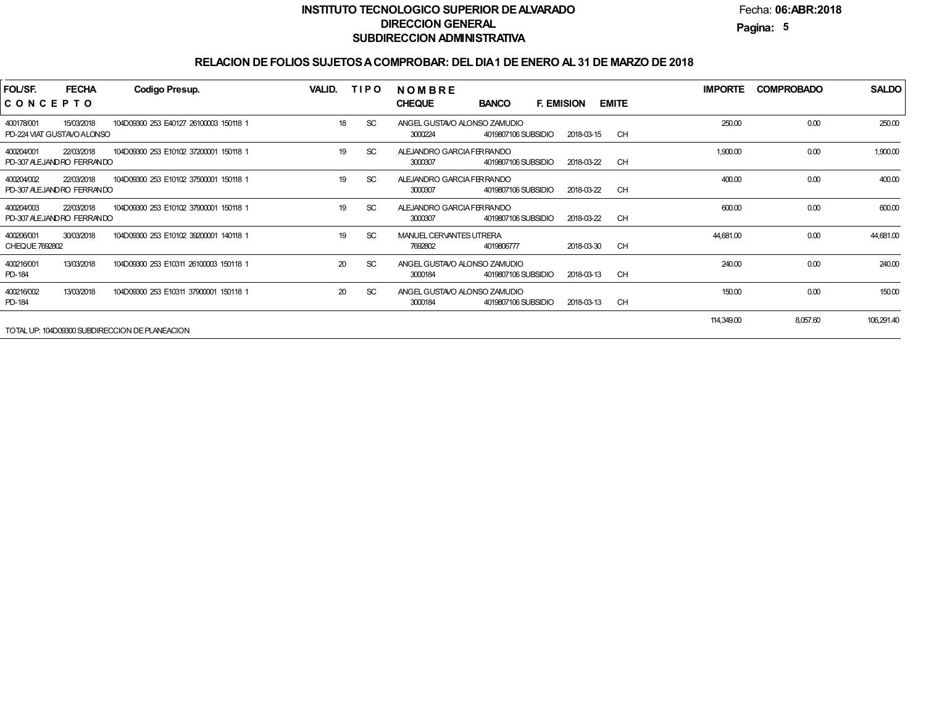Fecha:**06:ABR:2018**

**Pagina:5**

## **RELACION DE FOLIOS SUJETOS A COMPROBAR: DEL DIA 1 DE ENERO AL 31 DE MARZO DE 2018**

| FOL/SF.<br>CONCEPTO          | <b>FECHA</b>                             | <b>Codigo Presup.</b>                             | VALID. | <b>TIPO</b>   | NOMBRE<br><b>CHEQUE</b><br><b>F. EMISION</b><br><b>BANCO</b>   |            | <b>EMITE</b> | <b>IMPORTE</b> | <b>COMPROBADO</b> | <b>SALDO</b> |
|------------------------------|------------------------------------------|---------------------------------------------------|--------|---------------|----------------------------------------------------------------|------------|--------------|----------------|-------------------|--------------|
| 400178/001                   | 15/03/2018<br>PD-224 VIAT GUSTAVO ALONSO | 104D09300 253 E40127 26100003 150118 1            | 18     | <sub>SC</sub> | ANGEL GUSTAVO ALONSO ZAMUDIO<br>3000224<br>4019807106 SUBSIDIO | 2018-03-15 | <b>CH</b>    | 250.00         | 0.00              | 250.00       |
| 400204/001                   | 22/03/2018<br>PD-307 ALEJANDRO FERRANDO  | 104D09300 253 E10102 37200001 150118 1            | 19     | <sub>SC</sub> | ALEJANDRO GARCIA FERRANDO<br>4019807106 SUBSIDIO<br>3000307    | 2018-03-22 | <b>CH</b>    | 1,900.00       | 0.00              | 1,900.00     |
| 400204/002                   | 22/03/2018<br>PD-307 ALEJANDRO FERRANDO  | 104D09300 253 E10102 37500001 150118 1            | 19     | <sub>SC</sub> | ALEJANDRO GARCIA FERRANDO<br>4019807106 SUBSIDIO<br>3000307    | 2018-03-22 | <b>CH</b>    | 400.00         | 0.00              | 400.00       |
| 400204/003                   | 22/03/2018<br>PD-307 ALEJANDRO FERRANDO  | 104D09300 253 E10102 37900001 150118 1            | 19     | <b>SC</b>     | ALEJANDRO GARCIA FERRANDO<br>4019807106 SUBSIDIO<br>3000307    | 2018-03-22 | <b>CH</b>    | 600.00         | 0.00              | 600.00       |
| 400206/001<br>CHEQUE 7692802 | 30/03/2018                               | 104D09300 253 E10102 39200001 140118 1            | 19     | <b>SC</b>     | MANUEL CERVANTES UTRERA<br>7692802<br>4019806777               | 2018-03-30 | CH           | 44,681.00      | 0.00              | 44,681.00    |
| 400216/001<br>PD-184         | 13/03/2018                               | 104D09300 253 E10311 26100003 150118 1            | 20     | <b>SC</b>     | ANGEL GUSTAVO ALONSO ZAMUDIO<br>4019807106 SUBSIDIO<br>3000184 | 2018-03-13 | <b>CH</b>    | 240.00         | 0.00              | 240.00       |
| 400216/002<br>PD-184         | 13/03/2018                               | 104D09300 253 E10311 37900001 150118 1            | 20     | <b>SC</b>     | ANGEL GUSTAVO ALONSO ZAMUDIO<br>4019807106 SUBSIDIO<br>3000184 | 2018-03-13 | <b>CH</b>    | 150.00         | 0.00              | 150.00       |
|                              |                                          | TOTAL LIB-104D00200 SLIBDIDECCION DE DI ANEACIONI |        |               |                                                                |            |              | 114,349.00     | 8,057.60          | 106,291.40   |

TOTAL UP: 104D09300 SUBDIRECCION DE PLANEACION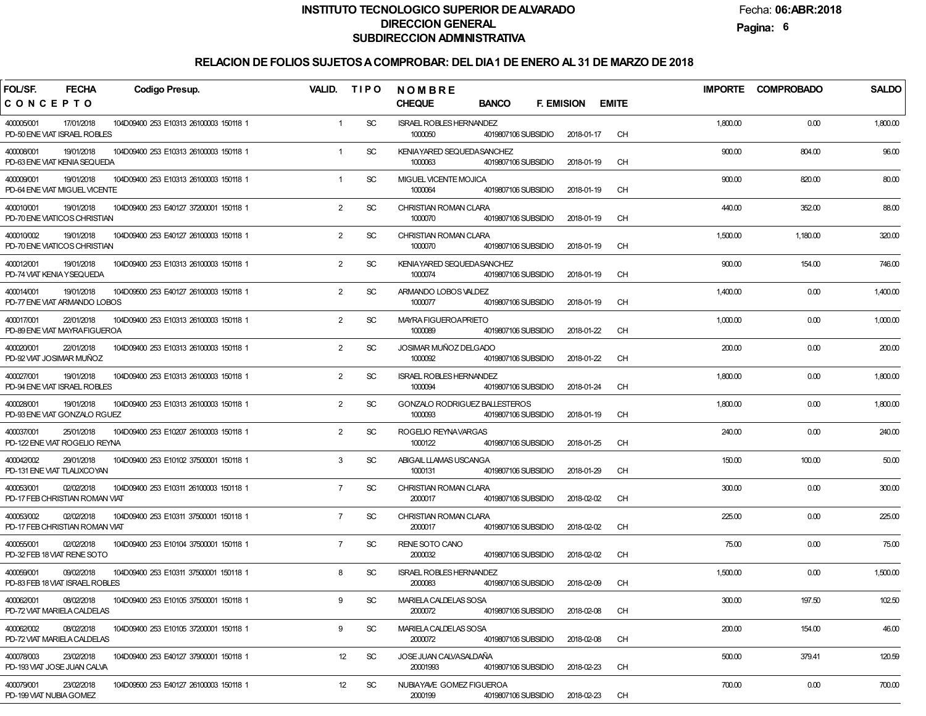Fecha:**06:ABR:2018**

**Pagina:6**

| FOL/SF.<br><b>FECHA</b><br><b>Codigo Presup.</b>                                                      | VALID.         | <b>TIPO</b> | <b>NOMBRE</b>                                                          |                                   | <b>IMPORTE</b> | <b>COMPROBADO</b> | <b>SALDO</b> |
|-------------------------------------------------------------------------------------------------------|----------------|-------------|------------------------------------------------------------------------|-----------------------------------|----------------|-------------------|--------------|
| CONCEPTO                                                                                              |                |             | <b>CHEQUE</b><br><b>BANCO</b>                                          | <b>F. EMISION</b><br><b>EMITE</b> |                |                   |              |
| 400005/001<br>17/01/2018<br>104D09400 253 E10313 26100003 150118 1<br>PD-50 ENE VIAT ISRAEL ROBLES    | $\mathbf{1}$   | <b>SC</b>   | <b>ISRAEL ROBLES HERNANDEZ</b><br>1000050<br>4019807106 SUBSIDIO       | CH<br>2018-01-17                  | 1,800.00       | 0.00              | 1,800.00     |
| 19/01/2018<br>400008/001<br>104D09400 253 E10313 26100003 150118 1<br>PD-63 ENE VIAT KENIA SEQUEDA    | 1              | <b>SC</b>   | KENIAYARED SEQUEDASANCHEZ<br>1000063<br>4019807106 SUBSIDIO            | CH<br>2018-01-19                  | 900.00         | 804.00            | 96.00        |
| 19/01/2018<br>104D09400 253 E10313 26100003 150118 1<br>400009/001<br>PD-64 ENE VIAT MIGUEL VICENTE   | $\mathbf{1}$   | <b>SC</b>   | MIGUEL VICENTE MOJICA<br>1000064<br>4019807106 SUBSIDIO                | CH<br>2018-01-19                  | 900.00         | 820.00            | 80.00        |
| 19/01/2018<br>104D09400 253 E40127 37200001 150118 1<br>400010/001<br>PD-70 ENE VIATICOS CHRISTIAN    | $\overline{2}$ | <b>SC</b>   | CHRISTIAN ROMAN CLARA<br>1000070<br>4019807106 SUBSIDIO                | CH<br>2018-01-19                  | 440.00         | 352.00            | 88.00        |
| 400010/002<br>19/01/2018<br>104D09400 253 E40127 26100003 150118 1<br>PD-70 ENE VIATICOS CHRISTIAN    | $\overline{2}$ | <b>SC</b>   | CHRISTIAN ROMAN CLARA<br>1000070<br>4019807106 SUBSIDIO                | CH<br>2018-01-19                  | 1,500.00       | 1,180.00          | 320.00       |
| 400012/001<br>19/01/2018<br>104D09400 253 E10313 26100003 150118 1<br>PD-74 VIAT KENIA Y SEQUEDA      | $\overline{2}$ | <b>SC</b>   | KENIAYARED SEQUEDASANCHEZ<br>1000074<br>4019807106 SUBSIDIO            | CH<br>2018-01-19                  | 900.00         | 154.00            | 746.00       |
| 400014/001<br>19/01/2018<br>104D09500 253 E40127 26100003 150118 1<br>PD-77 ENE VIAT ARMANDO LOBOS    | $\overline{2}$ | <b>SC</b>   | ARMANDO LOBOS VALDEZ<br>1000077<br>4019807106 SUBSIDIO                 | CH<br>2018-01-19                  | 1,400.00       | 0.00              | 1,400.00     |
| 400017/001<br>22/01/2018<br>104D09400 253 E10313 26100003 150118 1<br>PD-89 ENE VIAT MAYRA FIGUEROA   | $\overline{2}$ | <b>SC</b>   | <b>MAYRA FIGUEROAPRIETO</b><br>1000089<br>4019807106 SUBSIDIO          | CH<br>2018-01-22                  | 1,000.00       | 0.00              | 1,000.00     |
| 400020/001<br>22/01/2018<br>104D09400 253 E10313 26100003 150118 1<br>PD-92 VIAT JOSIMAR MUÑOZ        | $\overline{2}$ | <b>SC</b>   | JOSIMAR MUÑOZ DELGADO<br>1000092<br>4019807106 SUBSIDIO                | CH<br>2018-01-22                  | 200.00         | 0.00              | 200.00       |
| 400027/001<br>19/01/2018<br>104D09400 253 E10313 26100003 150118 1<br>PD-94 ENE VIAT ISRAEL ROBLES    | $\overline{2}$ | <b>SC</b>   | <b>ISRAEL ROBLES HERNANDEZ</b><br>1000094<br>4019807106 SUBSIDIO       | CH<br>2018-01-24                  | 1,800.00       | 0.00              | 1,800.00     |
| 400028/001<br>19/01/2018<br>104D09400 253 E10313 26100003 150118 1<br>PD-93 ENE VIAT GONZALO RGUEZ    | $\overline{2}$ | <b>SC</b>   | <b>GONZALO RODRIGUEZ BALLESTEROS</b><br>1000093<br>4019807106 SUBSIDIO | CH<br>2018-01-19                  | 1,800.00       | 0.00              | 1,800.00     |
| 400037/001<br>25/01/2018<br>104D09400 253 E10207 26100003 150118 1<br>PD-122 ENE VIAT ROGELIO REYNA   | $\overline{2}$ | <b>SC</b>   | ROGELIO REYNAVARGAS<br>1000122<br>4019807106 SUBSIDIO                  | CH<br>2018-01-25                  | 240.00         | 0.00              | 240.00       |
| 400042/002<br>29/01/2018<br>104D09400 253 E10102 37500001 150118 1<br>PD-131 ENE VIAT TLALIXCOYAN     | 3              | <b>SC</b>   | ABIGAIL LLAMAS USCANGA<br>1000131<br>4019807106 SUBSIDIO               | CH<br>2018-01-29                  | 150.00         | 100.00            | 50.00        |
| 400053/001<br>02/02/2018<br>104D09400 253 E10311 26100003 150118 1<br>PD-17 FEB CHRISTIAN ROMAN VIAT  | $\overline{7}$ | <b>SC</b>   | CHRISTIAN ROMAN CLARA<br>2000017<br>4019807106 SUBSIDIO                | CH<br>2018-02-02                  | 300.00         | 0.00              | 300.00       |
| 400053/002<br>02/02/2018<br>104D09400 253 E10311 37500001 150118 1<br>PD-17 FEB CHRISTIAN ROMAN VIAT  | $\overline{7}$ | <b>SC</b>   | CHRISTIAN ROMAN CLARA<br>2000017<br>4019807106 SUBSIDIO                | CH<br>2018-02-02                  | 225.00         | 0.00              | 225.00       |
| 400055/001<br>02/02/2018<br>104D09400 253 E10104 37500001 150118 1<br>PD-32 FEB 18 VIAT RENE SOTO     | $\overline{7}$ | <b>SC</b>   | RENE SOTO CANO<br>2000032<br>4019807106 SUBSIDIO                       | CH<br>2018-02-02                  | 75.00          | 0.00              | 75.00        |
| 400059/001<br>09/02/2018<br>104D09400 253 E10311 37500001 150118 1<br>PD-83 FEB 18 VIAT ISRAEL ROBLES | 8              | <b>SC</b>   | <b>ISRAEL ROBLES HERNANDEZ</b><br>4019807106 SUBSIDIO<br>2000083       | CH<br>2018-02-09                  | 1,500.00       | 0.00              | 1,500.00     |
| 400062/001<br>08/02/2018<br>104D09400 253 E10105 37500001 150118 1<br>PD-72 VIAT MARIELA CALDELAS     | 9              | SC          | MARIELA CALDELAS SOSA<br>2000072<br>4019807106 SUBSIDIO                | <b>CH</b><br>2018-02-08           | 300.00         | 197.50            | 102.50       |
| 400062/002<br>08/02/2018<br>104D09400 253 E10105 37200001 150118 1<br>PD-72 VIAT MARIELA CALDELAS     | 9              | <b>SC</b>   | MARIELA CALDELAS SOSA<br>2000072<br>4019807106 SUBSIDIO                | <b>CH</b><br>2018-02-08           | 200.00         | 154.00            | 46.00        |
| 23/02/2018<br>400078/003<br>104D09400 253 E40127 37900001 150118 1<br>PD-193 VIAT JOSE JUAN CALVA     | 12             | <b>SC</b>   | JOSE JUAN CALVASALDAÑA<br>20001993<br>4019807106 SUBSIDIO              | <b>CH</b><br>2018-02-23           | 500.00         | 379.41            | 120.59       |
| 23/02/2018<br>400079/001<br>104D09500 253 E40127 26100003 150118 1<br>PD-199 VIAT NUBIA GOMEZ         | 12             | <b>SC</b>   | NUBIAYAVE GOMEZ FIGUEROA<br>2000199<br>4019807106 SUBSIDIO             | CH<br>2018-02-23                  | 700.00         | 0.00              | 700.00       |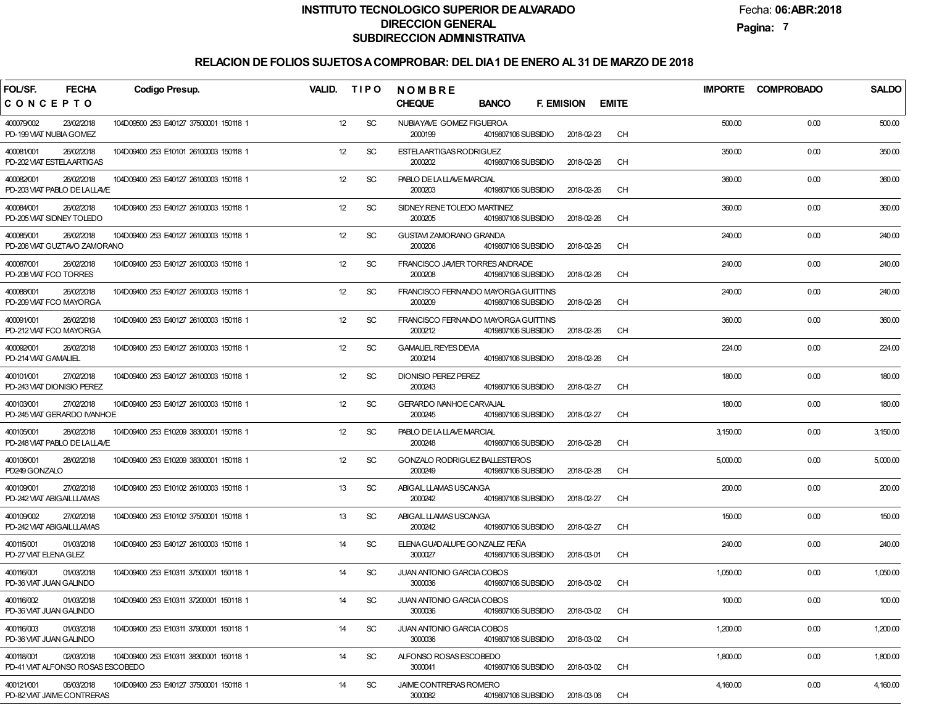Fecha:**06:ABR:2018**

**Pagina:7**

| FOL/SF.<br><b>FECHA</b>                                       | <b>Codigo Presup.</b>                  | VALID. | <b>TIPO</b> | <b>NOMBRE</b>                                                         |                                   |           | <b>IMPORTE</b> | <b>COMPROBADO</b> | <b>SALDO</b> |
|---------------------------------------------------------------|----------------------------------------|--------|-------------|-----------------------------------------------------------------------|-----------------------------------|-----------|----------------|-------------------|--------------|
| CONCEPTO                                                      |                                        |        |             | <b>CHEQUE</b><br><b>BANCO</b>                                         | <b>F. EMISION</b><br><b>EMITE</b> |           |                |                   |              |
| 400079/002<br>23/02/2018<br>PD-199 VIAT NUBIA GOMEZ           | 104D09500 253 E40127 37500001 150118 1 | 12     | <b>SC</b>   | NUBIAYAVE GOMEZ FIGUEROA<br>2000199<br>4019807106 SUBSIDIO            | 2018-02-23                        | <b>CH</b> | 500.00         | 0.00              | 500.00       |
| 400081/001<br>26/02/2018<br>PD-202 VIAT ESTELA ARTIGAS        | 104D09400 253 E10101 26100003 150118 1 | 12     | <b>SC</b>   | ESTELAARTIGAS RODRIGUEZ<br>2000202<br>4019807106 SUBSIDIO             | 2018-02-26                        | <b>CH</b> | 350.00         | 0.00              | 350.00       |
| 26/02/2018<br>400082/001<br>PD-203 VIAT PABLO DE LALLAVE      | 104D09400 253 E40127 26100003 150118 1 | 12     | <b>SC</b>   | PABLO DE LA LLAVE MARCIAL<br>4019807106 SUBSIDIO<br>2000203           | 2018-02-26                        | <b>CH</b> | 360.00         | 0.00              | 360.00       |
| 400084/001<br>26/02/2018<br>PD-205 VIAT SIDNEY TOLEDO         | 104D09400 253 E40127 26100003 150118 1 | 12     | <b>SC</b>   | SIDNEY RENE TOLEDO MARTINEZ<br>2000205<br>4019807106 SUBSIDIO         | 2018-02-26                        | <b>CH</b> | 360.00         | 0.00              | 360.00       |
| 400085/001<br>26/02/2018<br>PD-206 VIAT GUZTAVO ZAMORANO      | 104D09400 253 E40127 26100003 150118 1 | 12     | <b>SC</b>   | GUSTAVI ZAMORANO GRANDA<br>2000206<br>4019807106 SUBSIDIO             | 2018-02-26                        | <b>CH</b> | 240.00         | 0.00              | 240.00       |
| 400087/001<br>26/02/2018<br>PD-208 VIAT FCO TORRES            | 104D09400 253 E40127 26100003 150118 1 | 12     | <b>SC</b>   | FRANCISCO JAMER TORRES ANDRADE<br>2000208<br>4019807106 SUBSIDIO      | 2018-02-26                        | <b>CH</b> | 240.00         | 0.00              | 240.00       |
| 400088/001<br>26/02/2018<br>PD-209 VIAT FCO MAYORGA           | 104D09400 253 E40127 26100003 150118 1 | 12     | <b>SC</b>   | FRANCISCO FERNANDO MAYORGA GUITTINS<br>2000209<br>4019807106 SUBSIDIO | 2018-02-26                        | <b>CH</b> | 240.00         | 0.00              | 240.00       |
| 400091/001<br>26/02/2018<br>PD-212 VIAT FCO MAYORGA           | 104D09400 253 E40127 26100003 150118 1 | 12     | <b>SC</b>   | FRANCISCO FERNANDO MAYORGA GUITTINS<br>2000212<br>4019807106 SUBSIDIO | 2018-02-26                        | <b>CH</b> | 360.00         | 0.00              | 360.00       |
| 400092/001<br>26/02/2018<br>PD-214 VIAT GAMALIEL              | 104D09400 253 E40127 26100003 150118 1 | 12     | <b>SC</b>   | <b>GAMALIEL REYES DEVIA</b><br>2000214<br>4019807106 SUBSIDIO         | 2018-02-26                        | <b>CH</b> | 224.00         | 0.00              | 224.00       |
| 400101/001<br>27/02/2018<br>PD-243 VIAT DIONISIO PEREZ        | 104D09400 253 E40127 26100003 150118 1 | 12     | <b>SC</b>   | <b>DIONISIO PEREZ PEREZ</b><br>2000243<br>4019807106 SUBSIDIO         | 2018-02-27                        | <b>CH</b> | 180.00         | 0.00              | 180.00       |
| 400103/001<br>27/02/2018<br>PD-245 VIAT GERARDO IVANHOE       | 104D09400 253 E40127 26100003 150118 1 | 12     | SC          | <b>GERARDO IVANHOE CARVAJAL</b><br>2000245<br>4019807106 SUBSIDIO     | 2018-02-27                        | <b>CH</b> | 180.00         | 0.00              | 180.00       |
| 400105/001<br>28/02/2018<br>PD-248 VIAT PABLO DE LALLAVE      | 104D09400 253 E10209 38300001 150118 1 | 12     | SC          | PABLO DE LA LLAVE MARCIAL<br>2000248<br>4019807106 SUBSIDIO           | 2018-02-28                        | <b>CH</b> | 3,150.00       | 0.00              | 3,150.00     |
| 400106/001<br>28/02/2018<br>PD249 GONZALO                     | 104D09400 253 E10209 38300001 150118 1 | 12     | SC          | GONZALO RODRIGUEZ BALLESTEROS<br>2000249<br>4019807106 SUBSIDIO       | 2018-02-28                        | <b>CH</b> | 5,000.00       | 0.00              | 5,000.00     |
| 27/02/2018<br>400109/001<br>PD-242 VIAT ABIGAILLLAMAS         | 104D09400 253 E10102 26100003 150118 1 | 13     | SC          | ABIGAIL LLAMAS USCANGA<br>2000242<br>4019807106 SUBSIDIO              | 2018-02-27                        | <b>CH</b> | 200.00         | 0.00              | 200.00       |
| 400109/002<br>27/02/2018<br>PD-242 VIAT ABIGAILLLAMAS         | 104D09400 253 E10102 37500001 150118 1 | 13     | <b>SC</b>   | ABIGAIL LLAMAS USCANGA<br>2000242<br>4019807106 SUBSIDIO              | 2018-02-27                        | <b>CH</b> | 150.00         | 0.00              | 150.00       |
| 01/03/2018<br>400115/001<br>PD-27 VIAT ELENA GLEZ             | 104D09400 253 E40127 26100003 150118 1 | 14     | <b>SC</b>   | ELENA GUADALUPE GO NZALEZ FEÑA<br>3000027<br>4019807106 SUBSIDIO      | 2018-03-01                        | <b>CH</b> | 240.00         | 0.00              | 240.00       |
| 400116/001<br>01/03/2018<br>PD-36 VIAT JUAN GALINDO           | 104D09400 253 E10311 37500001 150118 1 | 14     | SC          | JUAN ANTONIO GARCIA COBOS<br>4019807106 SUBSIDIO<br>3000036           | 2018-03-02                        | <b>CH</b> | 1,050.00       | 0.00              | 1,050.00     |
| 400116/002<br>01/03/2018<br>PD-36 VIAT JUAN GALINDO           | 104D09400 253 E10311 37200001 150118 1 | 14     | <b>SC</b>   | JUAN ANTONIO GARCIA COBOS<br>3000036<br>4019807106 SUBSIDIO           | 2018-03-02                        | CH        | 100.00         | 0.00              | 100.00       |
| 400116/003<br>01/03/2018<br>PD-36 VIAT JUAN GALINDO           | 104D09400 253 E10311 37900001 150118 1 | 14     | <b>SC</b>   | JUAN ANTONIO GARCIA COBOS<br>3000036<br>4019807106 SUBSIDIO           | 2018-03-02                        | CH        | 1,200.00       | 0.00              | 1,200.00     |
| 02/03/2018<br>400118/001<br>PD-41 VIAT ALFONSO ROSAS ESCOBEDO | 104D09400 253 E10311 38300001 150118 1 | 14     | <b>SC</b>   | ALFONSO ROSAS ESCOBEDO<br>3000041<br>4019807106 SUBSIDIO              | 2018-03-02                        | CH        | 1,800.00       | 0.00              | 1,800.00     |
| 06/03/2018<br>400121/001<br>PD-82 VIAT JAIME CONTRERAS        | 104D09400 253 E40127 37500001 150118 1 | 14     | <b>SC</b>   | JAIME CONTRERAS ROMERO<br>3000082<br>4019807106 SUBSIDIO              | 2018-03-06                        | CН        | 4,160.00       | 0.00              | 4,160.00     |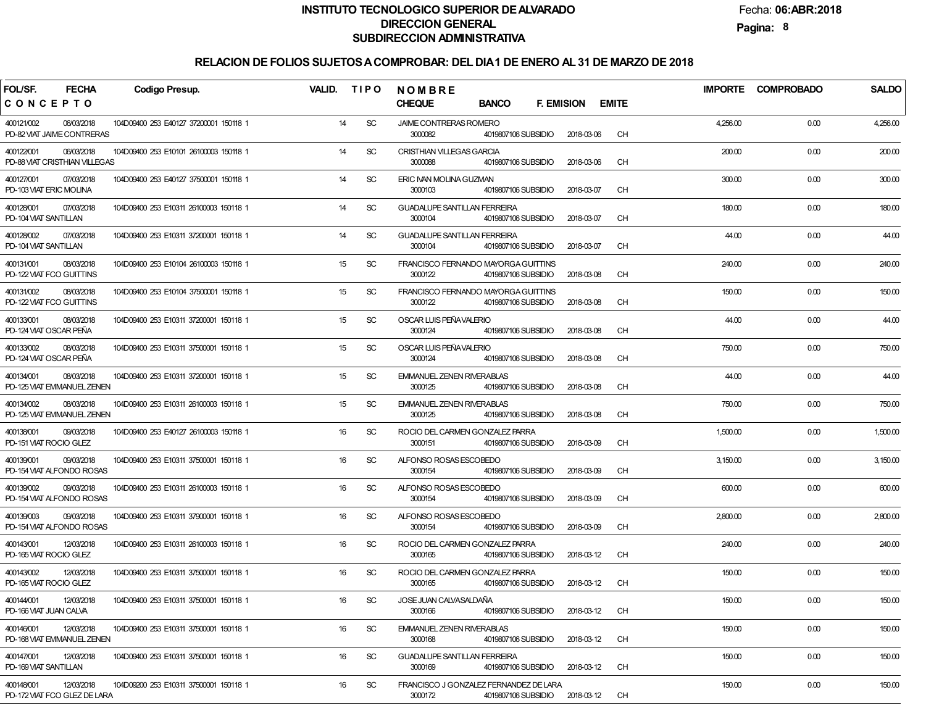Fecha:**06:ABR:2018**

**Pagina:8**

| FOL/SF.                                     | <b>FECHA</b> | <b>Codigo Presup.</b>                  | <b>VALID.</b> |    | <b>TIPO</b> | NOMBRE                                                                                 |              |           |          | IMPORTE COMPROBADO | <b>SALDO</b> |
|---------------------------------------------|--------------|----------------------------------------|---------------|----|-------------|----------------------------------------------------------------------------------------|--------------|-----------|----------|--------------------|--------------|
| CONCEPTO                                    |              |                                        |               |    |             | <b>CHEQUE</b><br><b>BANCO</b><br><b>F. EMISION</b>                                     | <b>EMITE</b> |           |          |                    |              |
| 400121/002<br>PD-82 VIAT JAIME CONTRERAS    | 06/03/2018   | 104D09400 253 E40127 37200001 150118 1 |               | 14 | <b>SC</b>   | JAIME CONTRERAS ROMERO<br>3000082<br>4019807106 SUBSIDIO<br>2018-03-06                 |              | <b>CH</b> | 4,256.00 | 0.00               | 4,256.00     |
| 400122/001<br>PD-88 VIAT CRISTHIAN VILLEGAS | 06/03/2018   | 104D09400 253 E10101 26100003 150118 1 |               | 14 | <b>SC</b>   | <b>CRISTHIAN VILLEGAS GARCIA</b><br>3000088<br>4019807106 SUBSIDIO<br>2018-03-06       |              | <b>CH</b> | 200.00   | 0.00               | 200.00       |
| 400127/001<br>PD-103 VIAT ERIC MOLINA       | 07/03/2018   | 104D09400 253 E40127 37500001 150118 1 |               | 14 | <b>SC</b>   | ERIC IVAN MOLINA GUZMAN<br>3000103<br>4019807106 SUBSIDIO<br>2018-03-07                |              | <b>CH</b> | 300.00   | 0.00               | 300.00       |
| 400128/001<br>PD-104 VIAT SANTILLAN         | 07/03/2018   | 104D09400 253 E10311 26100003 150118 1 |               | 14 | <b>SC</b>   | <b>GUADALUPE SANTILLAN FERREIRA</b><br>3000104<br>4019807106 SUBSIDIO<br>2018-03-07    |              | <b>CH</b> | 180.00   | 0.00               | 180.00       |
| 400128/002<br>PD-104 VIAT SANTILLAN         | 07/03/2018   | 104D09400 253 E10311 37200001 150118 1 |               | 14 | <b>SC</b>   | <b>GUADALUPE SANTILLAN FERREIRA</b><br>3000104<br>4019807106 SUBSIDIO<br>2018-03-07    |              | <b>CH</b> | 44.00    | 0.00               | 44.00        |
| 400131/001<br>PD-122 VIAT FCO GUITTINS      | 08/03/2018   | 104D09400 253 E10104 26100003 150118 1 |               | 15 | <b>SC</b>   | FRANCISCO FERNANDO MAYORGA GUITTINS<br>3000122<br>4019807106 SUBSIDIO<br>2018-03-08    |              | <b>CH</b> | 240.00   | 0.00               | 240.00       |
| 400131/002<br>PD-122 VIAT FCO GUITTINS      | 08/03/2018   | 104D09400 253 E10104 37500001 150118 1 |               | 15 | <b>SC</b>   | FRANCISCO FERNANDO MAYORGA GUITTINS<br>2018-03-08<br>3000122<br>4019807106 SUBSIDIO    |              | <b>CH</b> | 150.00   | 0.00               | 150.00       |
| 400133/001<br>PD-124 VIAT OSCAR PEÑA        | 08/03/2018   | 104D09400 253 E10311 37200001 150118 1 |               | 15 | <b>SC</b>   | OSCAR LUIS PEÑA VALERIO<br>3000124<br>4019807106 SUBSIDIO<br>2018-03-08                |              | <b>CH</b> | 44.00    | 0.00               | 44.00        |
| 400133/002<br>PD-124 VIAT OSCAR PEÑA        | 08/03/2018   | 104D09400 253 E10311 37500001 150118 1 |               | 15 | <b>SC</b>   | OSCAR LUIS PEÑA VALERIO<br>3000124<br>4019807106 SUBSIDIO<br>2018-03-08                |              | <b>CH</b> | 750.00   | 0.00               | 750.00       |
| 400134/001<br>PD-125 VIAT EMMANUEL ZENEN    | 08/03/2018   | 104D09400 253 E10311 37200001 150118 1 |               | 15 | <b>SC</b>   | <b>EMMANUEL ZENEN RIVERABLAS</b><br>3000125<br>4019807106 SUBSIDIO<br>2018-03-08       |              | <b>CH</b> | 44.00    | 0.00               | 44.00        |
| 400134/002<br>PD-125 VIAT EMMANUEL ZENEN    | 08/03/2018   | 104D09400 253 E10311 26100003 150118 1 |               | 15 | <b>SC</b>   | <b>EMMANUEL ZENEN RIVERABLAS</b><br>3000125<br>4019807106 SUBSIDIO<br>2018-03-08       |              | <b>CH</b> | 750.00   | 0.00               | 750.00       |
| 400138/001<br>PD-151 VIAT ROCIO GLEZ        | 09/03/2018   | 104D09400 253 E40127 26100003 150118 1 |               | 16 | <b>SC</b>   | ROCIO DEL CARMEN GONZALEZ PARRA<br>3000151<br>4019807106 SUBSIDIO<br>2018-03-09        |              | <b>CH</b> | 1,500.00 | 0.00               | 1,500.00     |
| 400139/001<br>PD-154 VIAT ALFONDO ROSAS     | 09/03/2018   | 104D09400 253 E10311 37500001 150118 1 |               | 16 | <b>SC</b>   | ALFONSO ROSAS ESCOBEDO<br>3000154<br>4019807106 SUBSIDIO<br>2018-03-09                 |              | <b>CH</b> | 3,150.00 | 0.00               | 3,150.00     |
| 400139/002<br>PD-154 VIAT ALFONDO ROSAS     | 09/03/2018   | 104D09400 253 E10311 26100003 150118 1 |               | 16 | <b>SC</b>   | ALFONSO ROSAS ESCOBEDO<br>3000154<br>4019807106 SUBSIDIO<br>2018-03-09                 |              | <b>CH</b> | 600.00   | 0.00               | 600.00       |
| 400139/003<br>PD-154 VIAT ALFONDO ROSAS     | 09/03/2018   | 104D09400 253 E10311 37900001 150118 1 |               | 16 | <b>SC</b>   | ALFONSO ROSAS ESCOBEDO<br>3000154<br>4019807106 SUBSIDIO<br>2018-03-09                 |              | <b>CH</b> | 2,800.00 | 0.00               | 2,800.00     |
| 400143/001<br>PD-165 VIAT ROCIO GLEZ        | 12/03/2018   | 104D09400 253 E10311 26100003 150118 1 |               | 16 | <b>SC</b>   | ROCIO DEL CARMEN GONZALEZ PARRA<br>3000165<br>4019807106 SUBSIDIO<br>2018-03-12        |              | <b>CH</b> | 240.00   | 0.00               | 240.00       |
| 400143/002<br>PD-165 VIAT ROCIO GLEZ        | 12/03/2018   | 104D09400 253 E10311 37500001 150118 1 |               | 16 | <b>SC</b>   | ROCIO DEL CARMEN GONZALEZ PARRA<br>3000165<br>4019807106 SUBSIDIO<br>2018-03-12        |              | <b>CH</b> | 150.00   | 0.00               | 150.00       |
| 400144/001<br>PD-166 VIAT JUAN CALVA        | 12/03/2018   | 104D09400 253 E10311 37500001 150118 1 |               | 16 | <b>SC</b>   | JOSE JUAN CALVASALDAÑA<br>3000166<br>4019807106 SUBSIDIO<br>2018-03-12                 |              | CH        | 150.00   | 0.00               | 150.00       |
| 400146/001<br>PD-168 VIAT EMMANUEL ZENEN    | 12/03/2018   | 104D09400 253 E10311 37500001 150118 1 |               | 16 | <b>SC</b>   | EMMANUEL ZENEN RIVERABLAS<br>3000168<br>4019807106 SUBSIDIO<br>2018-03-12              |              | <b>CH</b> | 150.00   | 0.00               | 150.00       |
| 400147/001<br>PD-169 VIAT SANTILLAN         | 12/03/2018   | 104D09400 253 E10311 37500001 150118 1 |               | 16 | <b>SC</b>   | <b>GUADALUPE SANTILLAN FERREIRA</b><br>3000169<br>2018-03-12<br>4019807106 SUBSIDIO    |              | CH        | 150.00   | 0.00               | 150.00       |
| 400148/001<br>PD-172 VIAT FCO GLEZ DE LARA  | 12/03/2018   | 104D09200 253 E10311 37500001 150118 1 |               | 16 | <b>SC</b>   | FRANCISCO J GONZALEZ FERNANDEZ DE LARA<br>3000172<br>4019807106 SUBSIDIO<br>2018-03-12 |              | CH        | 150.00   | 0.00               | 150.00       |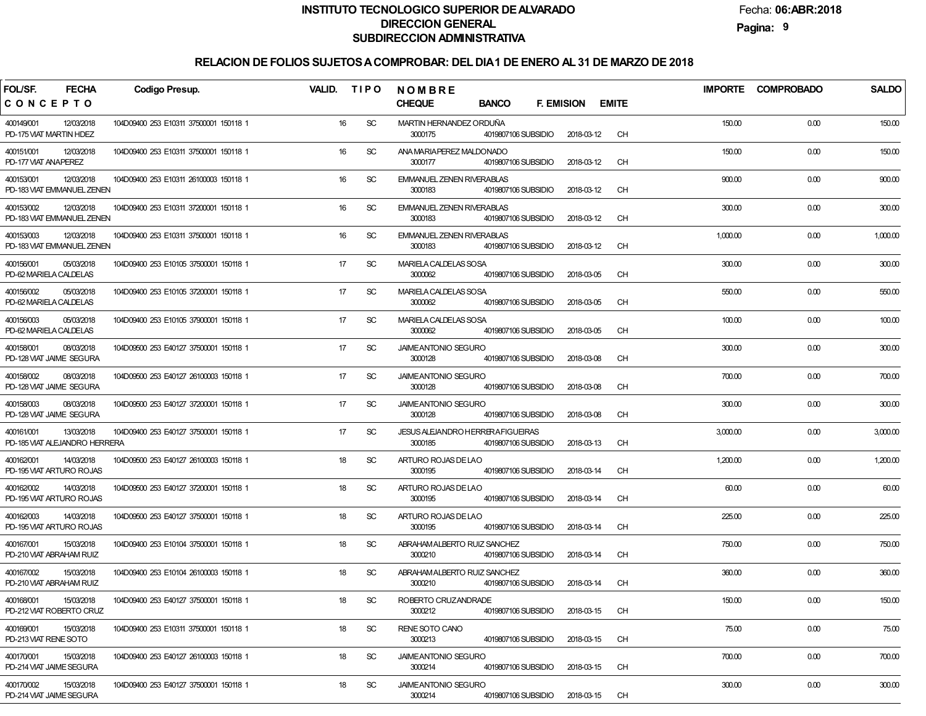Fecha:**06:ABR:2018**

**Pagina:9**

| FOL/SF.<br><b>FECHA</b>                                   | <b>Codigo Presup.</b>                  | VALID. | <b>TIPO</b>   | NOMBRE                                                             |                   |              | <b>IMPORTE</b> | <b>COMPROBADO</b> | <b>SALDO</b> |
|-----------------------------------------------------------|----------------------------------------|--------|---------------|--------------------------------------------------------------------|-------------------|--------------|----------------|-------------------|--------------|
| CONCEPTO                                                  |                                        |        |               | <b>CHEQUE</b><br><b>BANCO</b>                                      | <b>F. EMISION</b> | <b>EMITE</b> |                |                   |              |
| 12/03/2018<br>400149/001<br>PD-175 VIAT MARTIN HDEZ       | 104D09400 253 E10311 37500001 150118 1 | 16     | <b>SC</b>     | MARTIN HERNANDEZ ORDUÑA<br>3000175<br>4019807106 SUBSIDIO          | 2018-03-12        | <b>CH</b>    | 150.00         | 0.00              | 150.00       |
| 400151/001<br>12/03/2018<br>PD-177 VIAT ANAPEREZ          | 104D09400 253 E10311 37500001 150118 1 | 16     | <b>SC</b>     | ANA MARIAPEREZ MALDONADO<br>3000177<br>4019807106 SUBSIDIO         | 2018-03-12        | <b>CH</b>    | 150.00         | 0.00              | 150.00       |
| 12/03/2018<br>400153/001<br>PD-183 VIAT EMMANUEL ZENEN    | 104D09400 253 E10311 26100003 150118 1 | 16     | <b>SC</b>     | <b>EMMANUEL ZENEN RIVERABLAS</b><br>3000183<br>4019807106 SUBSIDIO | 2018-03-12        | <b>CH</b>    | 900.00         | 0.00              | 900.00       |
| 12/03/2018<br>400153/002<br>PD-183 VIAT EMMANUEL ZENEN    | 104D09400 253 E10311 37200001 150118 1 | 16     | <b>SC</b>     | <b>EMMANUEL ZENEN RIVERABLAS</b><br>3000183<br>4019807106 SUBSIDIO | 2018-03-12        | <b>CH</b>    | 300.00         | 0.00              | 300.00       |
| 12/03/2018<br>400153/003<br>PD-183 VIAT EMMANUEL ZENEN    | 104D09400 253 E10311 37500001 150118 1 | 16     | <b>SC</b>     | <b>EMMANUEL ZENEN RIVERABLAS</b><br>3000183<br>4019807106 SUBSIDIO | 2018-03-12        | <b>CH</b>    | 1,000.00       | 0.00              | 1,000.00     |
| 400156/001<br>05/03/2018<br>PD-62 MARIELA CALDELAS        | 104D09400 253 E10105 37500001 150118 1 | 17     | <b>SC</b>     | <b>MARIELA CALDELAS SOSA</b><br>3000062<br>4019807106 SUBSIDIO     | 2018-03-05        | <b>CH</b>    | 300.00         | 0.00              | 300.00       |
| 400156/002<br>05/03/2018<br>PD-62 MARIELA CALDELAS        | 104D09400 253 E10105 37200001 150118 1 | 17     | <b>SC</b>     | <b>MARIELA CALDELAS SOSA</b><br>3000062<br>4019807106 SUBSIDIO     | 2018-03-05        | <b>CH</b>    | 550.00         | 0.00              | 550.00       |
| 400156/003<br>05/03/2018<br>PD-62 MARIELA CALDELAS        | 104D09400 253 E10105 37900001 150118 1 | 17     | <b>SC</b>     | <b>MARIELA CALDELAS SOSA</b><br>3000062<br>4019807106 SUBSIDIO     | 2018-03-05        | <b>CH</b>    | 100.00         | 0.00              | 100.00       |
| 400158/001<br>08/03/2018<br>PD-128 VIAT JAIME SEGURA      | 104D09500 253 E40127 37500001 150118 1 | 17     | <b>SC</b>     | JAIMEANTONIO SEGURO<br>3000128<br>4019807106 SUBSIDIO              | 2018-03-08        | <b>CH</b>    | 300.00         | 0.00              | 300.00       |
| 400158/002<br>08/03/2018<br>PD-128 VIAT JAIME SEGURA      | 104D09500 253 E40127 26100003 150118 1 | 17     | <b>SC</b>     | JAIMEANTONIO SEGURO<br>3000128<br>4019807106 SUBSIDIO              | 2018-03-08        | <b>CH</b>    | 700.00         | 0.00              | 700.00       |
| 400158/003<br>08/03/2018<br>PD-128 VIAT JAIME SEGURA      | 104D09500 253 E40127 37200001 150118 1 | 17     | <b>SC</b>     | <b>JAIMEANTONIO SEGURO</b><br>3000128<br>4019807106 SUBSIDIO       | 2018-03-08        | <b>CH</b>    | 300.00         | 0.00              | 300.00       |
| 400161/001<br>13/03/2018<br>PD-185 VIAT ALEJANDRO HERRERA | 104D09400 253 E40127 37500001 150118 1 | 17     | <b>SC</b>     | JESUS ALEJANDRO HERRERAFIGUEIRAS<br>3000185<br>4019807106 SUBSIDIO | 2018-03-13        | <b>CH</b>    | 3,000.00       | 0.00              | 3,000.00     |
| 400162/001<br>14/03/2018<br>PD-195 VIAT ARTURO ROJAS      | 104D09500 253 E40127 26100003 150118 1 | 18     | <b>SC</b>     | ARTURO ROJAS DE LAO<br>3000195<br>4019807106 SUBSIDIO              | 2018-03-14        | <b>CH</b>    | 1,200.00       | 0.00              | 1,200.00     |
| 400162/002<br>14/03/2018<br>PD-195 VIAT ARTURO ROJAS      | 104D09500 253 E40127 37200001 150118 1 | 18     | <b>SC</b>     | ARTURO ROJAS DE LAO<br>3000195<br>4019807106 SUBSIDIO              | 2018-03-14        | <b>CH</b>    | 60.00          | 0.00              | 60.00        |
| 400162/003<br>14/03/2018<br>PD-195 VIAT ARTURO ROJAS      | 104D09500 253 E40127 37500001 150118 1 | 18     | <b>SC</b>     | ARTURO ROJAS DE LAO<br>3000195<br>4019807106 SUBSIDIO              | 2018-03-14        | <b>CH</b>    | 225.00         | 0.00              | 225.00       |
| 400167/001<br>15/03/2018<br>PD-210 VIAT ABRAHAM RUIZ      | 104D09400 253 E10104 37500001 150118 1 | 18     | <b>SC</b>     | ABRAHAM ALBERTO RUIZ SANCHEZ<br>3000210<br>4019807106 SUBSIDIO     | 2018-03-14        | <b>CH</b>    | 750.00         | 0.00              | 750.00       |
| 400167/002<br>15/03/2018<br>PD-210 VIAT ABRAHAM RUIZ      | 104D09400 253 E10104 26100003 150118 1 | 18     | <b>SC</b>     | ABRAHAM ALBERTO RUIZ SANCHEZ<br>4019807106 SUBSIDIO<br>3000210     | 2018-03-14        | <b>CH</b>    | 360.00         | 0.00              | 360.00       |
| 400168/001<br>15/03/2018<br>PD-212 VIAT ROBERTO CRUZ      | 104D09400 253 E40127 37500001 150118 1 | 18     | <sub>SC</sub> | ROBERTO CRUZANDRADE<br>3000212<br>4019807106 SUBSIDIO              | 2018-03-15        | CH           | 150.00         | 0.00              | 150.00       |
| 400169/001<br>15/03/2018<br>PD-213 VIAT RENE SOTO         | 104D09400 253 E10311 37500001 150118 1 | 18     | <b>SC</b>     | RENE SOTO CANO<br>3000213<br>4019807106 SUBSIDIO                   | 2018-03-15        | CH           | 75.00          | 0.00              | 75.00        |
| 400170/001<br>15/03/2018<br>PD-214 VIAT JAIME SEGURA      | 104D09400 253 E40127 26100003 150118 1 | 18     | <b>SC</b>     | <b>JAIMEANTONIO SEGURO</b><br>3000214<br>4019807106 SUBSIDIO       | 2018-03-15        | CH           | 700.00         | 0.00              | 700.00       |
| 400170/002<br>15/03/2018<br>PD-214 VIAT JAIME SEGURA      | 104D09400 253 E40127 37500001 150118 1 | 18     | <b>SC</b>     | JAIMEANTONIO SEGURO<br>3000214<br>4019807106 SUBSIDIO              | 2018-03-15        | CH           | 300.00         | 0.00              | 300.00       |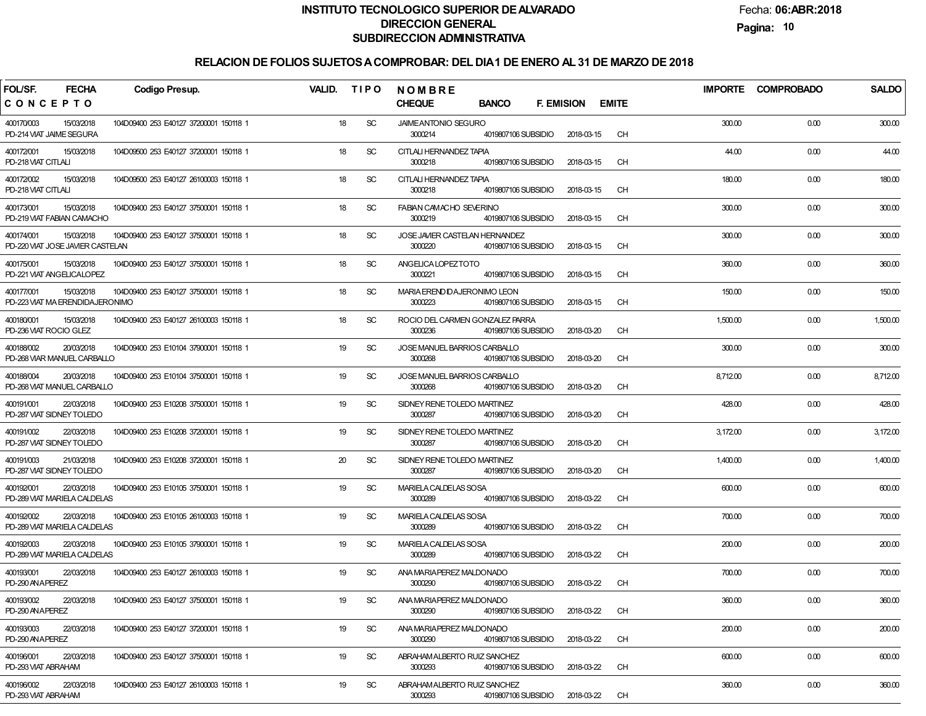Fecha:**06:ABR:2018**

**Pagina:10**

| <b>FECHA</b><br>FOL/SF.<br><b>Codigo Presup.</b>                                                       | <b>VALID.</b><br><b>TIPO</b> | <b>NOMBRE</b>                                                     |                                   | <b>IMPORTE</b> | <b>COMPROBADO</b> | <b>SALDO</b> |
|--------------------------------------------------------------------------------------------------------|------------------------------|-------------------------------------------------------------------|-----------------------------------|----------------|-------------------|--------------|
| CONCEPTO                                                                                               |                              | <b>CHEQUE</b><br><b>BANCO</b>                                     | <b>F. EMISION</b><br><b>EMITE</b> |                |                   |              |
| 400170/003<br>15/03/2018<br>104D09400 253 E40127 37200001 150118 1<br>PD-214 VIAT JAIME SEGURA         | 18<br>SC                     | <b>JAIMEANTONIO SEGURO</b><br>3000214<br>4019807106 SUBSIDIO      | <b>CH</b><br>2018-03-15           | 300.00         | 0.00              | 300.00       |
| 400172/001<br>15/03/2018<br>104D09500 253 E40127 37200001 150118 1<br>PD-218 VIAT CITLALI              | 18<br>SC                     | CITLALI HERNANDEZ TAPIA<br>3000218<br>4019807106 SUBSIDIO         | <b>CH</b><br>2018-03-15           | 44.00          | 0.00              | 44.00        |
| 400172/002<br>15/03/2018<br>104D09500 253 E40127 26100003 150118 1<br>PD-218 VIAT CITLALI              | SC<br>18                     | CITLALI HERNANDEZ TAPIA<br>3000218<br>4019807106 SUBSIDIO         | <b>CH</b><br>2018-03-15           | 180.00         | 0.00              | 180.00       |
| 400173/001<br>15/03/2018<br>104D09400 253 E40127 37500001 150118 1<br>PD-219 VIAT FABIAN CAMACHO       | SC<br>18                     | <b>FABIAN CAMACHO SEVERINO</b><br>3000219<br>4019807106 SUBSIDIO  | <b>CH</b><br>2018-03-15           | 300.00         | 0.00              | 300.00       |
| 400174/001<br>15/03/2018<br>104D09400 253 E40127 37500001 150118 1<br>PD-220 VIAT JOSE JAVIER CASTELAN | SC<br>18                     | JOSE JAVIER CASTELAN HERNANDEZ<br>3000220<br>4019807106 SUBSIDIO  | <b>CH</b><br>2018-03-15           | 300.00         | 0.00              | 300.00       |
| 400175/001<br>15/03/2018<br>104D09400 253 E40127 37500001 150118 1<br>PD-221 VIAT ANGELICALOPEZ        | SC<br>18                     | ANGELICA LOPEZ TO TO<br>3000221<br>4019807106 SUBSIDIO            | <b>CH</b><br>2018-03-15           | 360.00         | 0.00              | 360.00       |
| 400177/001<br>15/03/2018<br>104D09400 253 E40127 37500001 150118 1<br>PD-223 VIAT MA ERENDIDAJERONIMO  | SC<br>18                     | MARIA ERENDIDAJERONIMO LEON<br>3000223<br>4019807106 SUBSIDIO     | <b>CH</b><br>2018-03-15           | 150.00         | 0.00              | 150.00       |
| 400180/001<br>15/03/2018<br>104D09400 253 E40127 26100003 150118 1<br>PD-236 VIAT ROCIO GLEZ           | SC<br>18                     | ROCIO DEL CARMEN GONZALEZ PARRA<br>3000236<br>4019807106 SUBSIDIO | <b>CH</b><br>2018-03-20           | 1,500.00       | 0.00              | 1,500.00     |
| 400188/002<br>20/03/2018<br>104D09400 253 E10104 37900001 150118 1<br>PD-268 VIAR MANUEL CARBALLO      | SC<br>19                     | JOSE MANUEL BARRIOS CARBALLO<br>3000268<br>4019807106 SUBSIDIO    | <b>CH</b><br>2018-03-20           | 300.00         | 0.00              | 300.00       |
| 400188/004<br>20/03/2018<br>104D09400 253 E10104 37500001 150118 1<br>PD-268 VIAT MANUEL CARBALLO      | SC<br>19                     | JOSE MANUEL BARRIOS CARBALLO<br>3000268<br>4019807106 SUBSIDIO    | <b>CH</b><br>2018-03-20           | 8,712.00       | 0.00              | 8,712.00     |
| 400191/001<br>22/03/2018<br>104D09400 253 E10208 37500001 150118 1<br>PD-287 VIAT SIDNEY TOLEDO        | SC<br>19                     | SIDNEY RENE TOLEDO MARTINEZ<br>3000287<br>4019807106 SUBSIDIO     | <b>CH</b><br>2018-03-20           | 428.00         | 0.00              | 428.00       |
| 400191/002<br>22/03/2018<br>104D09400 253 E10208 37200001 150118 1<br>PD-287 VIAT SIDNEY TOLEDO        | SC<br>19                     | SIDNEY RENE TOLEDO MARTINEZ<br>3000287<br>4019807106 SUBSIDIO     | <b>CH</b><br>2018-03-20           | 3,172.00       | 0.00              | 3,172.00     |
| 400191/003<br>21/03/2018<br>104D09400 253 E10208 37200001 150118 1<br>PD-287 VIAT SIDNEY TOLEDO        | SC<br>20                     | SIDNEY RENE TOLEDO MARTINEZ<br>3000287<br>4019807106 SUBSIDIO     | <b>CH</b><br>2018-03-20           | 1,400.00       | 0.00              | 1,400.00     |
| 400192/001<br>22/03/2018<br>104D09400 253 E10105 37500001 150118 1<br>PD-289 VIAT MARIELA CALDELAS     | 19<br>SC                     | MARIELA CALDELAS SOSA<br>3000289<br>4019807106 SUBSIDIO           | 2018-03-22<br><b>CH</b>           | 600.00         | 0.00              | 600.00       |
| 400192/002<br>22/03/2018<br>104D09400 253 E10105 26100003 150118 1<br>PD-289 VIAT MARIELA CALDELAS     | SC<br>19                     | MARIELA CALDELAS SOSA<br>3000289<br>4019807106 SUBSIDIO           | 2018-03-22<br><b>CH</b>           | 700.00         | 0.00              | 700.00       |
| 400192/003<br>22/03/2018<br>104D09400 253 E10105 37900001 150118 1<br>PD-289 VIAT MARIELA CALDELAS     | SC<br>19                     | MARIELA CALDELAS SOSA<br>3000289<br>4019807106 SUBSIDIO           | 2018-03-22<br><b>CH</b>           | 200.00         | 0.00              | 200.00       |
| 400193/001<br>22/03/2018<br>104D09400 253 E40127 26100003 150118 1<br>PD-290 AN APEREZ                 | 19<br>SC                     | ANA MARIAPEREZ MALDONADO<br>4019807106 SUBSIDIO<br>3000290        | 2018-03-22<br><b>CH</b>           | 700.00         | 0.00              | 700.00       |
| 400193/002<br>22/03/2018<br>104D09400 253 E40127 37500001 150118 1<br>PD-290 AN APEREZ                 | 19<br><b>SC</b>              | ANA MARIAPEREZ MALDONADO<br>3000290<br>4019807106 SUBSIDIO        | 2018-03-22<br>CH                  | 360.00         | 0.00              | 360.00       |
| 400193/003<br>22/03/2018<br>104D09400 253 E40127 37200001 150118 1<br>PD-290 AN APEREZ                 | <b>SC</b><br>19              | ANA MARIAPEREZ MALDONADO<br>3000290<br>4019807106 SUBSIDIO        | CH<br>2018-03-22                  | 200.00         | 0.00              | 200.00       |
| 22/03/2018<br>400196/001<br>104D09400 253 E40127 37500001 150118 1<br>PD-293 VIAT ABRAHAM              | 19<br>SC                     | ABRAHAM ALBERTO RUIZ SANCHEZ<br>3000293<br>4019807106 SUBSIDIO    | CH<br>2018-03-22                  | 600.00         | 0.00              | 600.00       |
| 22/03/2018<br>400196/002<br>104D09400 253 E40127 26100003 150118 1<br>PD-293 VIAT ABRAHAM              | 19<br>SC                     | ABRAHAM ALBERTO RUIZ SANCHEZ<br>3000293<br>4019807106 SUBSIDIO    | 2018-03-22<br>CH                  | 360.00         | 0.00              | 360.00       |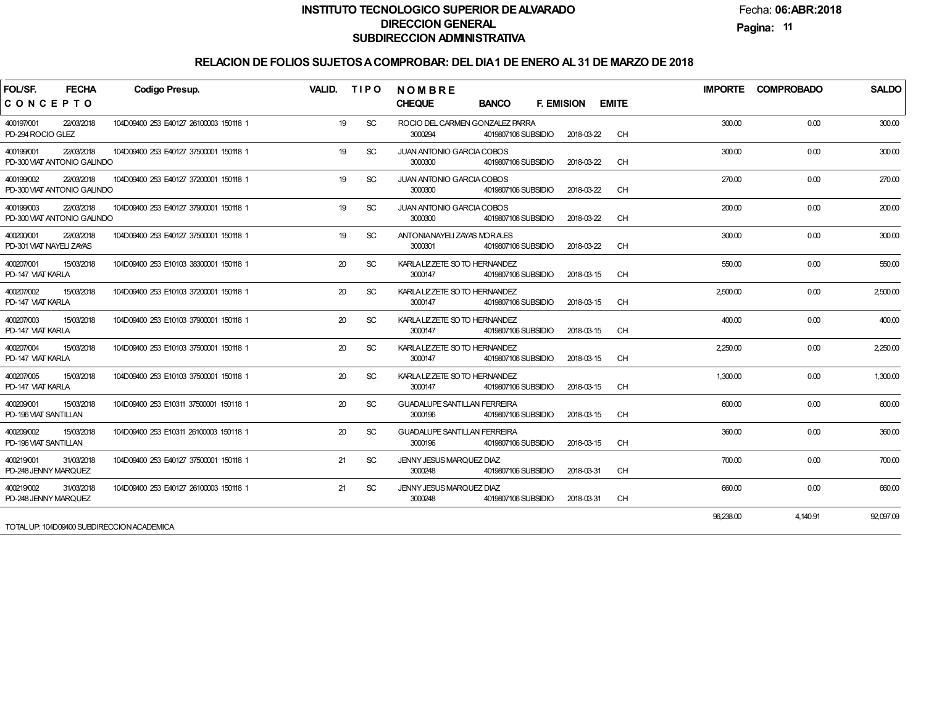Fecha:**06:ABR:2018**

**Pagina:11**

| FOL/SF.<br><b>FECHA</b><br>CONCEPTO                     | <b>Codigo Presup.</b>                  | <b>VALID.</b> | <b>TIPO</b>   | <b>NOMBRE</b><br><b>CHEQUE</b>                 | <b>BANCO</b>        | <b>F. EMISION</b> | <b>EMITE</b> |           | IMPORTE COMPROBADO | <b>SALDO</b> |
|---------------------------------------------------------|----------------------------------------|---------------|---------------|------------------------------------------------|---------------------|-------------------|--------------|-----------|--------------------|--------------|
| 22/03/2018<br>400197/001<br>PD-294 ROCIO GLEZ           | 104D09400 253 E40127 26100003 150118 1 | 19            | <b>SC</b>     | ROCIO DEL CARMEN GONZALEZ PARRA<br>3000294     | 4019807106 SUBSIDIO | 2018-03-22        | <b>CH</b>    | 300.00    | 0.00               | 300.00       |
| 22/03/2018<br>400199/001<br>PD-300 VIAT ANTONIO GALINDO | 104D09400 253 E40127 37500001 150118 1 | 19            | <b>SC</b>     | JUAN ANTONIO GARCIA COBOS<br>3000300           | 4019807106 SUBSIDIO | 2018-03-22        | <b>CH</b>    | 300.00    | 0.00               | 300.00       |
| 400199/002<br>22/03/2018<br>PD-300 VIAT ANTONIO GALINDO | 104D09400 253 E40127 37200001 150118 1 | 19            | <b>SC</b>     | <b>JUAN ANTONIO GARCIA COBOS</b><br>3000300    | 4019807106 SUBSIDIO | 2018-03-22        | <b>CH</b>    | 270.00    | 0.00               | 270.00       |
| 22/03/2018<br>400199/003<br>PD-300 VIAT ANTONIO GALINDO | 104D09400 253 E40127 37900001 150118 1 | 19            | <b>SC</b>     | JUAN ANTONIO GARCIA COBOS<br>3000300           | 4019807106 SUBSIDIO | 2018-03-22        | CH           | 200.00    | 0.00               | 200.00       |
| 22/03/2018<br>400200/001<br>PD-301 VIAT NAYELI ZAYAS    | 104D09400 253 E40127 37500001 150118 1 | 19            | <b>SC</b>     | ANTONIANAYELI ZAYAS MORALES<br>3000301         | 4019807106 SUBSIDIO | 2018-03-22        | <b>CH</b>    | 300.00    | 0.00               | 300.00       |
| 15/03/2018<br>400207/001<br>PD-147 VIAT KARLA           | 104D09400 253 E10103 38300001 150118 1 | 20            | <b>SC</b>     | KARLA LIZZETE SO TO HERNANDEZ<br>3000147       | 4019807106 SUBSIDIO | 2018-03-15        | CH           | 550.00    | 0.00               | 550.00       |
| 15/03/2018<br>400207/002<br>PD-147 VIAT KARLA           | 104D09400 253 E10103 37200001 150118 1 | 20            | <b>SC</b>     | KARLA LIZZETE SO TO HERNANDEZ<br>3000147       | 4019807106 SUBSIDIO | 2018-03-15        | <b>CH</b>    | 2,500.00  | 0.00               | 2,500.00     |
| 15/03/2018<br>400207/003<br>PD-147 VIAT KARLA           | 104D09400 253 E10103 37900001 150118 1 | 20            | <b>SC</b>     | KARLA LIZZETE SO TO HERNANDEZ<br>3000147       | 4019807106 SUBSIDIO | 2018-03-15        | CH           | 400.00    | 0.00               | 400.00       |
| 15/03/2018<br>400207/004<br>PD-147 VIAT KARLA           | 104D09400 253 E10103 37500001 150118 1 | 20            | <b>SC</b>     | KARLA LIZZETE SO TO HERNANDEZ<br>3000147       | 4019807106 SUBSIDIO | 2018-03-15        | <b>CH</b>    | 2.250.00  | 0.00               | 2,250.00     |
| 400207/005<br>15/03/2018<br>PD-147 VIAT KARLA           | 104D09400 253 E10103 37500001 150118 1 | 20            | <b>SC</b>     | KARLA LIZZETE SO TO HERNANDEZ<br>3000147       | 4019807106 SUBSIDIO | 2018-03-15        | <b>CH</b>    | 1,300.00  | 0.00               | 1,300.00     |
| 400209/001<br>15/03/2018<br>PD-196 VIAT SANTILLAN       | 104D09400 253 E10311 37500001 150118 1 | 20            | <b>SC</b>     | <b>GUADALUPE SANTILLAN FERREIRA</b><br>3000196 | 4019807106 SUBSIDIO | 2018-03-15        | <b>CH</b>    | 600.00    | 0.00               | 600.00       |
| 400209/002<br>15/03/2018<br>PD-196 VIAT SANTILLAN       | 104D09400 253 E10311 26100003 150118 1 | 20            | <b>SC</b>     | <b>GUADALUPE SANTILLAN FERREIRA</b><br>3000196 | 4019807106 SUBSIDIO | 2018-03-15        | <b>CH</b>    | 360.00    | 0.00               | 360.00       |
| 400219/001<br>31/03/2018<br>PD-248 JENNY MARQUEZ        | 104D09400 253 E40127 37500001 150118 1 | 21            | <b>SC</b>     | JENNY JESUS MARQUEZ DIAZ<br>3000248            | 4019807106 SUBSIDIO | 2018-03-31        | <b>CH</b>    | 700.00    | 0.00               | 700.00       |
| 400219/002<br>31/03/2018<br>PD-248 JENNY MARQUEZ        | 104D09400 253 E40127 26100003 150118 1 | 21            | <sub>SC</sub> | JENNY JESUS MARQUEZ DIAZ<br>3000248            | 4019807106 SUBSIDIO | 2018-03-31        | <b>CH</b>    | 660.00    | 0.00               | 660.00       |
| TOTAL UP: 104D09400 SUBDIRECCION ACADEMICA              |                                        |               |               |                                                |                     |                   |              | 96.238.00 | 4.140.91           | 92.097.09    |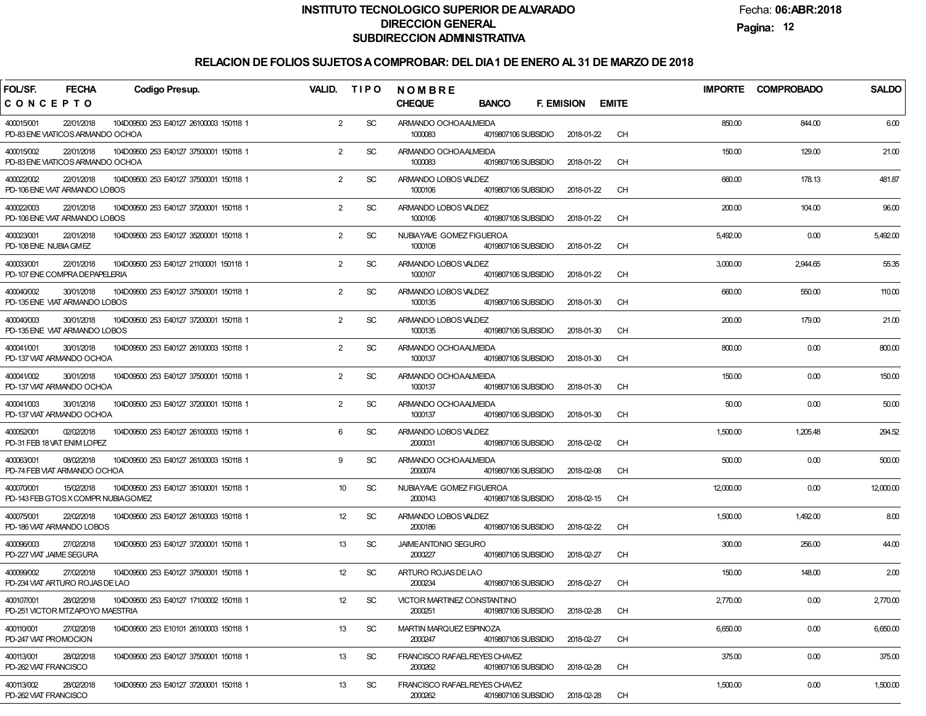Fecha:**06:ABR:2018**

**Pagina:12**

| FOL/SF.<br><b>FECHA</b><br><b>Codigo Presup.</b>                                                         | VALID.          | <b>TIPO</b> | <b>NOMBRE</b>                                                     |                                   | <b>IMPORTE</b> | <b>COMPROBADO</b> | <b>SALDO</b> |
|----------------------------------------------------------------------------------------------------------|-----------------|-------------|-------------------------------------------------------------------|-----------------------------------|----------------|-------------------|--------------|
| CONCEPTO                                                                                                 |                 |             | <b>CHEQUE</b><br><b>BANCO</b>                                     | <b>F. EMISION</b><br><b>EMITE</b> |                |                   |              |
| 400015/001<br>22/01/2018<br>104D09500 253 E40127 26100003 150118 1<br>PD-83 ENE VIATICOS ARMANDO OCHOA   | $\overline{2}$  | <b>SC</b>   | ARMANDO OCHOAALMEIDA<br>1000083<br>4019807106 SUBSIDIO            | CH<br>2018-01-22                  | 850.00         | 844.00            | 6.00         |
| 400015/002<br>22/01/2018<br>104D09500 253 E40127 37500001 150118 1<br>PD-83 ENE VIATICOS ARMANDO OCHOA   | $\overline{2}$  | <b>SC</b>   | ARMANDO OCHOAALMEIDA<br>1000083<br>4019807106 SUBSIDIO            | CH<br>2018-01-22                  | 150.00         | 129.00            | 21.00        |
| 400022/002<br>22/01/2018<br>104D09500 253 E40127 37500001 150118 1<br>PD-106 ENE VIAT ARMANDO LOBOS      | $\overline{2}$  | <b>SC</b>   | ARMANDO LOBOS VALDEZ<br>1000106<br>4019807106 SUBSIDIO            | CH<br>2018-01-22                  | 660.00         | 178.13            | 481.87       |
| 400022/003<br>22/01/2018<br>104D09500 253 E40127 37200001 150118 1<br>PD-106 ENE VIAT ARMANDO LOBOS      | $\overline{2}$  | <b>SC</b>   | ARMANDO LOBOS VALDEZ<br>1000106<br>4019807106 SUBSIDIO            | CH<br>2018-01-22                  | 200.00         | 104.00            | 96.00        |
| 400023/001<br>22/01/2018<br>104D09500 253 E40127 35200001 150118 1<br>PD-108 ENE NUBIA GMEZ              | $\overline{2}$  | <b>SC</b>   | <b>NUBIAYAVE GOMEZ FIGUEROA</b><br>1000108<br>4019807106 SUBSIDIO | CH<br>2018-01-22                  | 5,492.00       | 0.00              | 5,492.00     |
| 400033/001<br>22/01/2018<br>104D09500 253 E40127 21100001 150118 1<br>PD-107 ENE COMPRA DEPAPELERIA      | $\overline{2}$  | <b>SC</b>   | ARMANDO LOBOS VALDEZ<br>1000107<br>4019807106 SUBSIDIO            | CH<br>2018-01-22                  | 3,000.00       | 2,944.65          | 55.35        |
| 400040/002<br>30/01/2018<br>104D09500 253 E40127 37500001 150118 1<br>PD-135 ENE VIAT ARMANDO LOBOS      | $\overline{2}$  | <b>SC</b>   | ARMANDO LOBOS VALDEZ<br>1000135<br>4019807106 SUBSIDIO            | CH<br>2018-01-30                  | 660.00         | 550.00            | 110.00       |
| 400040/003<br>30/01/2018<br>104D09500 253 E40127 37200001 150118 1<br>PD-135 ENE VIAT ARMANDO LOBOS      | $\overline{2}$  | <b>SC</b>   | ARMANDO LOBOS VALDEZ<br>1000135<br>4019807106 SUBSIDIO            | CH<br>2018-01-30                  | 200.00         | 179.00            | 21.00        |
| 400041/001<br>30/01/2018<br>104D09500 253 E40127 26100003 150118 1<br>PD-137 VIAT ARMANDO OCHOA          | $\overline{2}$  | <b>SC</b>   | ARMANDO OCHOAALMEIDA<br>1000137<br>4019807106 SUBSIDIO            | CH<br>2018-01-30                  | 800.00         | 0.00              | 800.00       |
| 400041/002<br>30/01/2018<br>104D09500 253 E40127 37500001 150118 1<br>PD-137 VIAT ARMANDO OCHOA          | $\overline{2}$  | <b>SC</b>   | ARMANDO OCHOAALMEIDA<br>1000137<br>4019807106 SUBSIDIO            | CH<br>2018-01-30                  | 150.00         | 0.00              | 150.00       |
| 400041/003<br>30/01/2018<br>104D09500 253 E40127 37200001 150118 1<br>PD-137 VIAT ARMANDO OCHOA          | $\overline{2}$  | <b>SC</b>   | ARMANDO OCHOAALMEIDA<br>1000137<br>4019807106 SUBSIDIO            | CH<br>2018-01-30                  | 50.00          | 0.00              | 50.00        |
| 400052/001<br>02/02/2018<br>104D09500 253 E40127 26100003 150118 1<br>PD-31 FEB 18 VAT ENIM LOPEZ        | 6               | <b>SC</b>   | ARMANDO LOBOS VALDEZ<br>2000031<br>4019807106 SUBSIDIO            | CH<br>2018-02-02                  | 1,500.00       | 1,205.48          | 294.52       |
| 400063/001<br>08/02/2018<br>104D09500 253 E40127 26100003 150118 1<br>PD-74 FEB VIAT ARMANDO OCHOA       | 9               | <b>SC</b>   | ARMANDO OCHOAALMEIDA<br>2000074<br>4019807106 SUBSIDIO            | CH<br>2018-02-08                  | 500.00         | 0.00              | 500.00       |
| 400070/001<br>15/02/2018<br>104D09500 253 E40127 35100001 150118 1<br>PD-143 FEB GTOS X COMPR NUBIAGOMEZ | 10 <sup>°</sup> | <b>SC</b>   | NUBIAYAVE GOMEZ FIGUEROA<br>2000143<br>4019807106 SUBSIDIO        | CH<br>2018-02-15                  | 12,000.00      | 0.00              | 12,000.00    |
| 400075/001<br>22/02/2018<br>104D09500 253 E40127 26100003 150118 1<br>PD-186 VIAT ARMANDO LOBOS          | 12              | <b>SC</b>   | ARMANDO LOBOS VALDEZ<br>2000186<br>4019807106 SUBSIDIO            | CH<br>2018-02-22                  | 1,500.00       | 1,492.00          | 8.00         |
| 400096/003<br>27/02/2018<br>104D09500 253 E40127 37200001 150118 1<br>PD-227 VIAT JAIME SEGURA           | 13              | <b>SC</b>   | <b>JAIMEANTONIO SEGURO</b><br>2000227<br>4019807106 SUBSIDIO      | CH<br>2018-02-27                  | 300.00         | 256.00            | 44.00        |
| 400099/002<br>27/02/2018<br>104D09500 253 E40127 37500001 150118 1<br>PD-234 VIAT ARTURO ROJAS DE LAO    | 12              | <b>SC</b>   | ARTURO ROJAS DE LAO<br>2000234<br>4019807106 SUBSIDIO             | <b>CH</b><br>2018-02-27           | 150.00         | 148.00            | 2.00         |
| 400107/001<br>28/02/2018<br>104D09500 253 E40127 17100002 150118 1<br>PD-251 VICTOR MTZAPOYO MAESTRIA    | 12              | SC          | VICTOR MARTINEZ CONSTANTINO<br>2000251<br>4019807106 SUBSIDIO     | <b>CH</b><br>2018-02-28           | 2,770.00       | 0.00              | 2,770.00     |
| 400110/001<br>27/02/2018<br>104D09500 253 E10101 26100003 150118 1<br>PD-247 VIAT PROMOCION              | 13              | <b>SC</b>   | MARTIN MARQUEZ ESPINOZA<br>2000247<br>4019807106 SUBSIDIO         | <b>CH</b><br>2018-02-27           | 6,650.00       | 0.00              | 6,650.00     |
| 400113/001<br>28/02/2018<br>104D09500 253 E40127 37500001 150118 1<br>PD-262 VIAT FRANCISCO              | 13              | SC          | FRANCISCO RAFAELREYES CHAVEZ<br>2000262<br>4019807106 SUBSIDIO    | <b>CH</b><br>2018-02-28           | 375.00         | 0.00              | 375.00       |
| 400113/002<br>28/02/2018<br>104D09500 253 E40127 37200001 150118 1<br>PD-262 VIAT FRANCISCO              | 13              | SC          | FRANCISCO RAFAELREYES CHAVEZ<br>2000262<br>4019807106 SUBSIDIO    | <b>CH</b><br>2018-02-28           | 1,500.00       | 0.00              | 1,500.00     |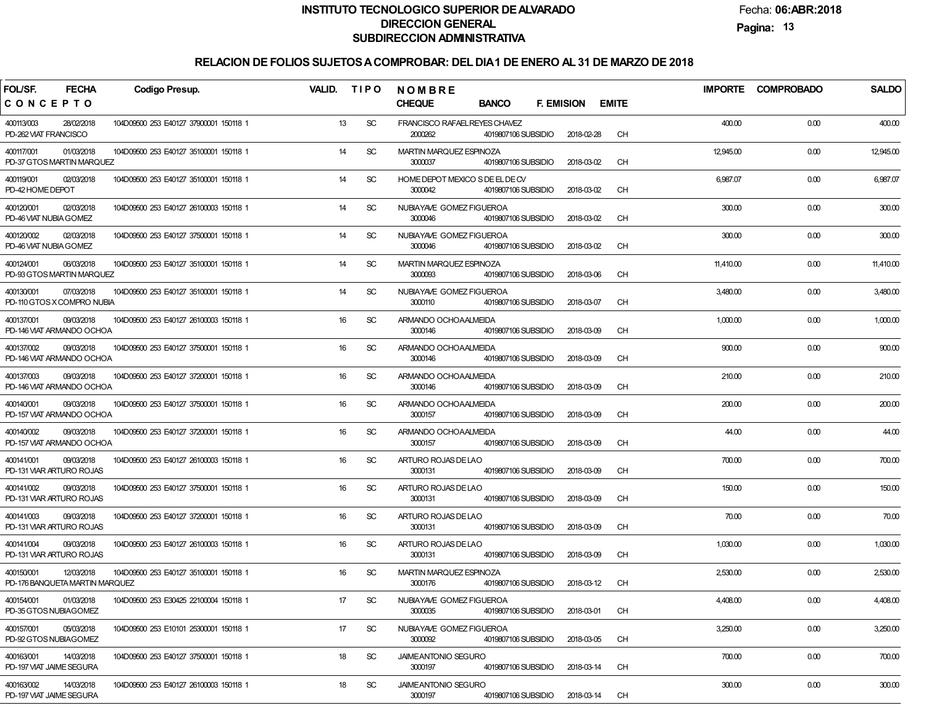Fecha:**06:ABR:2018**

**Pagina:13**

| <b>FECHA</b><br>FOL/SF.<br><b>Codigo Presup.</b>           |                                        | VALID. | <b>TIPO</b> | <b>NOMBRE</b>                              |                     |                   |            |              | <b>IMPORTE</b> | <b>COMPROBADO</b> | <b>SALDO</b> |
|------------------------------------------------------------|----------------------------------------|--------|-------------|--------------------------------------------|---------------------|-------------------|------------|--------------|----------------|-------------------|--------------|
| CONCEPTO                                                   |                                        |        |             | <b>CHEQUE</b>                              | <b>BANCO</b>        | <b>F. EMISION</b> |            | <b>EMITE</b> |                |                   |              |
| 400113/003<br>28/02/2018<br>PD-262 VIAT FRANCISCO          | 104D09500 253 E40127 37900001 150118 1 | 13     | <b>SC</b>   | FRANCISCO RAFAELREYES CHAVEZ<br>2000262    | 4019807106 SUBSIDIO |                   | 2018-02-28 | <b>CH</b>    | 400.00         | 0.00              | 400.00       |
| 400117/001<br>01/03/2018<br>PD-37 GTOS MARTIN MARQUEZ      | 104D09500 253 E40127 35100001 150118 1 | 14     | <b>SC</b>   | MARTIN MARQUEZ ESPINOZA<br>3000037         | 4019807106 SUBSIDIO |                   | 2018-03-02 | <b>CH</b>    | 12,945.00      | 0.00              | 12,945.00    |
| 02/03/2018<br>400119/001<br>PD-42 HOME DEPOT               | 104D09500 253 E40127 35100001 150118 1 | 14     | <b>SC</b>   | HOME DEPOT MEXICO S DE EL DE CV<br>3000042 | 4019807106 SUBSIDIO |                   | 2018-03-02 | <b>CH</b>    | 6,987.07       | 0.00              | 6,987.07     |
| 400120/001<br>02/03/2018<br>PD-46 VIAT NUBIA GOMEZ         | 104D09500 253 E40127 26100003 150118 1 | 14     | <b>SC</b>   | NUBIAYAVE GOMEZ FIGUEROA<br>3000046        | 4019807106 SUBSIDIO |                   | 2018-03-02 | <b>CH</b>    | 300.00         | 0.00              | 300.00       |
| 400120/002<br>02/03/2018<br>PD-46 VIAT NUBIA GOMEZ         | 104D09500 253 E40127 37500001 150118 1 | 14     | <b>SC</b>   | NUBIAYAVE GOMEZ FIGUEROA<br>3000046        | 4019807106 SUBSIDIO |                   | 2018-03-02 | <b>CH</b>    | 300.00         | 0.00              | 300.00       |
| 400124/001<br>06/03/2018<br>PD-93 GTOS MARTIN MARQUEZ      | 104D09500 253 E40127 35100001 150118 1 | 14     | <b>SC</b>   | MARTIN MARQUEZ ESPINOZA<br>3000093         | 4019807106 SUBSIDIO |                   | 2018-03-06 | <b>CH</b>    | 11,410.00      | 0.00              | 11,410.00    |
| 400130/001<br>07/03/2018<br>PD-110 GTOS X COMPRO NUBIA     | 104D09500 253 E40127 35100001 150118 1 | 14     | <b>SC</b>   | NUBIAYAVE GOMEZ FIGUEROA<br>3000110        | 4019807106 SUBSIDIO |                   | 2018-03-07 | <b>CH</b>    | 3,480.00       | 0.00              | 3,480.00     |
| 400137/001<br>09/03/2018<br>PD-146 VIAT ARMANDO OCHOA      | 104D09500 253 E40127 26100003 150118 1 | 16     | <b>SC</b>   | ARMANDO OCHOAALMEIDA<br>3000146            | 4019807106 SUBSIDIO |                   | 2018-03-09 | <b>CH</b>    | 1,000.00       | 0.00              | 1,000.00     |
| 400137/002<br>09/03/2018<br>PD-146 VIAT ARMANDO OCHOA      | 104D09500 253 E40127 37500001 150118 1 | 16     | <b>SC</b>   | ARMANDO OCHOAALMEIDA<br>3000146            | 4019807106 SUBSIDIO |                   | 2018-03-09 | <b>CH</b>    | 900.00         | 0.00              | 900.00       |
| 400137/003<br>09/03/2018<br>PD-146 VIAT ARMANDO OCHOA      | 104D09500 253 E40127 37200001 150118 1 | 16     | <b>SC</b>   | ARMANDO OCHOAALMEIDA<br>3000146            | 4019807106 SUBSIDIO |                   | 2018-03-09 | <b>CH</b>    | 210.00         | 0.00              | 210.00       |
| 400140/001<br>09/03/2018<br>PD-157 VIAT ARMANDO OCHOA      | 104D09500 253 E40127 37500001 150118 1 | 16     | <b>SC</b>   | ARMANDO OCHOAALMEIDA<br>3000157            | 4019807106 SUBSIDIO |                   | 2018-03-09 | <b>CH</b>    | 200.00         | 0.00              | 200.00       |
| 400140/002<br>09/03/2018<br>PD-157 VIAT ARMANDO OCHOA      | 104D09500 253 E40127 37200001 150118 1 | 16     | <b>SC</b>   | ARMANDO OCHOAALMEIDA<br>3000157            | 4019807106 SUBSIDIO |                   | 2018-03-09 | <b>CH</b>    | 44.00          | 0.00              | 44.00        |
| 400141/001<br>09/03/2018<br>PD-131 VIAR ARTURO ROJAS       | 104D09500 253 E40127 26100003 150118 1 | 16     | <b>SC</b>   | ARTURO ROJAS DE LAO<br>3000131             | 4019807106 SUBSIDIO |                   | 2018-03-09 | <b>CH</b>    | 700.00         | 0.00              | 700.00       |
| 400141/002<br>09/03/2018<br>PD-131 VIAR ARTURO ROJAS       | 104D09500 253 E40127 37500001 150118 1 | 16     | <b>SC</b>   | ARTURO ROJAS DE LAO<br>3000131             | 4019807106 SUBSIDIO |                   | 2018-03-09 | <b>CH</b>    | 150.00         | 0.00              | 150.00       |
| 400141/003<br>09/03/2018<br>PD-131 VIAR ARTURO ROJAS       | 104D09500 253 E40127 37200001 150118 1 | 16     | <b>SC</b>   | ARTURO ROJAS DE LAO<br>3000131             | 4019807106 SUBSIDIO |                   | 2018-03-09 | <b>CH</b>    | 70.00          | 0.00              | 70.00        |
| 400141/004<br>09/03/2018<br>PD-131 VIAR ARTURO ROJAS       | 104D09500 253 E40127 26100003 150118 1 | 16     | <b>SC</b>   | ARTURO ROJAS DE LAO<br>3000131             | 4019807106 SUBSIDIO |                   | 2018-03-09 | <b>CH</b>    | 1,030.00       | 0.00              | 1,030.00     |
| 400150/001<br>12/03/2018<br>PD-176 BANQUETA MARTIN MARQUEZ | 104D09500 253 E40127 35100001 150118 1 | 16     | <b>SC</b>   | MARTIN MARQUEZ ESPINOZA<br>3000176         | 4019807106 SUBSIDIO |                   | 2018-03-12 | <b>CH</b>    | 2,530.00       | 0.00              | 2,530.00     |
| 400154/001<br>01/03/2018<br>PD-35 GTOS NUBIAGOMEZ          | 104D09500 253 E30425 22100004 150118 1 | 17     | SC          | NUBIAYAVE GOMEZ FIGUEROA<br>3000035        | 4019807106 SUBSIDIO |                   | 2018-03-01 | <b>CH</b>    | 4,408.00       | 0.00              | 4,408.00     |
| 400157/001<br>05/03/2018<br>PD-92 GTOS NUBIAGOMEZ          | 104D09500 253 E10101 25300001 150118 1 | 17     | <b>SC</b>   | NUBIAYAVE GOMEZ FIGUEROA<br>3000092        | 4019807106 SUBSIDIO |                   | 2018-03-05 | <b>CH</b>    | 3,250.00       | 0.00              | 3,250.00     |
| 400163/001<br>14/03/2018<br>PD-197 VIAT JAIME SEGURA       | 104D09500 253 E40127 37500001 150118 1 | 18     | <b>SC</b>   | <b>JAIMEANTONIO SEGURO</b><br>3000197      | 4019807106 SUBSIDIO |                   | 2018-03-14 | <b>CH</b>    | 700.00         | 0.00              | 700.00       |
| 400163/002<br>14/03/2018<br>PD-197 VIAT JAIME SEGURA       | 104D09500 253 E40127 26100003 150118 1 | 18     | <b>SC</b>   | <b>JAIMEANTONIO SEGURO</b><br>3000197      | 4019807106 SUBSIDIO |                   | 2018-03-14 | <b>CH</b>    | 300.00         | 0.00              | 300.00       |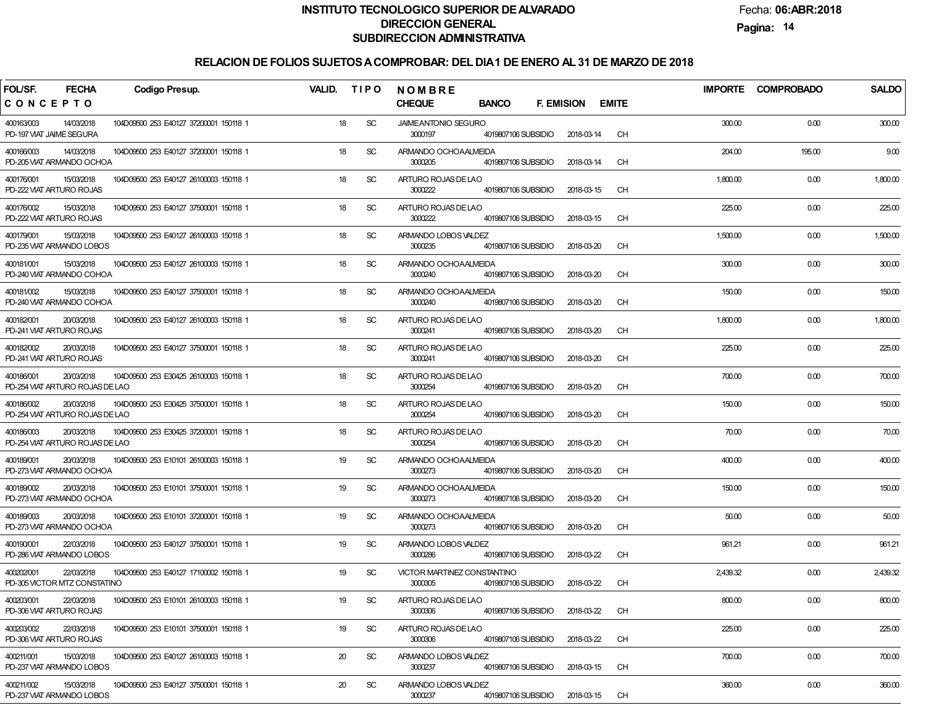Fecha:**06:ABR:2018**

**Pagina:14**

| FOL/SF.<br><b>FECHA</b><br><b>Codigo Presup.</b>                                                      | VALID.<br><b>TIPO</b> | NOMBRE                                                               |                         |          | IMPORTE COMPROBADO | <b>SALDO</b> |
|-------------------------------------------------------------------------------------------------------|-----------------------|----------------------------------------------------------------------|-------------------------|----------|--------------------|--------------|
| CONCEPTO                                                                                              |                       | <b>CHEQUE</b><br><b>BANCO</b><br><b>F. EMISION</b>                   | <b>EMITE</b>            |          |                    |              |
| 400163/003<br>104D09500 253 E40127 37200001 150118 1<br>14/03/2018<br>PD-197 VIAT JAIME SEGURA        | 18<br><b>SC</b>       | <b>JAIMEANTONIO SEGURO</b><br>3000197<br>4019807106 SUBSIDIO         | <b>CH</b><br>2018-03-14 | 300.00   | 0.00               | 300.00       |
| 14/03/2018<br>400166/003<br>104D09500 253 E40127 37200001 150118 1<br>PD-205 VIAT ARMANDO OCHOA       | 18<br><b>SC</b>       | ARMANDO OCHOAALMEIDA<br>3000205<br>4019807106 SUBSIDIO               | <b>CH</b><br>2018-03-14 | 204.00   | 195.00             | 9.00         |
| 15/03/2018<br>400176/001<br>104D09500 253 E40127 26100003 150118 1<br>PD-222 VIAT ARTURO ROJAS        | 18<br><b>SC</b>       | ARTURO ROJAS DE LAO<br>3000222<br>4019807106 SUBSIDIO                | <b>CH</b><br>2018-03-15 | 1,800.00 | 0.00               | 1,800.00     |
| 400176/002<br>15/03/2018<br>104D09500 253 E40127 37500001 150118 1<br>PD-222 VIAT ARTURO ROJAS        | 18<br><b>SC</b>       | ARTURO ROJAS DE LAO<br>3000222<br>4019807106 SUBSIDIO                | <b>CH</b><br>2018-03-15 | 225.00   | 0.00               | 225.00       |
| 104D09500 253 E40127 26100003 150118 1<br>400179/001<br>15/03/2018<br>PD-235 VIAT ARMANDO LOBOS       | 18<br><b>SC</b>       | ARMANDO LOBOS VALDEZ<br>3000235<br>4019807106 SUBSIDIO               | <b>CH</b><br>2018-03-20 | 1,500.00 | 0.00               | 1,500.00     |
| 104D09500 253 E40127 26100003 150118 1<br>400181/001<br>15/03/2018<br>PD-240 VIAT ARMANDO COHOA       | 18<br><b>SC</b>       | ARMANDO OCHOAALMEIDA<br>3000240<br>4019807106 SUBSIDIO               | <b>CH</b><br>2018-03-20 | 300.00   | 0.00               | 300.00       |
| 400181/002<br>15/03/2018<br>104D09500 253 E40127 37500001 150118 1<br>PD-240 VIAT ARMANDO COHOA       | 18<br><b>SC</b>       | ARMANDO OCHOAALMEIDA<br>3000240<br>4019807106 SUBSIDIO               | <b>CH</b><br>2018-03-20 | 150.00   | 0.00               | 150.00       |
| 400182/001<br>20/03/2018<br>104D09500 253 E40127 26100003 150118 1<br>PD-241 VIAT ARTURO ROJAS        | 18<br><b>SC</b>       | ARTURO ROJAS DE LAO<br>3000241<br>4019807106 SUBSIDIO                | <b>CH</b><br>2018-03-20 | 1,800.00 | 0.00               | 1,800.00     |
| 400182/002<br>20/03/2018<br>104D09500 253 E40127 37500001 150118 1<br>PD-241 VIAT ARTURO ROJAS        | 18<br><b>SC</b>       | ARTURO ROJAS DE LAO<br>3000241<br>4019807106 SUBSIDIO                | <b>CH</b><br>2018-03-20 | 225.00   | 0.00               | 225.00       |
| 400186/001<br>20/03/2018<br>104D09500 253 E30425 26100003 150118 1<br>PD-254 VIAT ARTURO ROJAS DE LAO | 18<br><b>SC</b>       | ARTURO ROJAS DE LAO<br>3000254<br>4019807106 SUBSIDIO                | <b>CH</b><br>2018-03-20 | 700.00   | 0.00               | 700.00       |
| 400186/002<br>20/03/2018<br>104D09500 253 E30425 37500001 150118 1<br>PD-254 VIAT ARTURO ROJAS DE LAO | 18<br><b>SC</b>       | ARTURO ROJAS DE LAO<br>3000254<br>4019807106 SUBSIDIO                | <b>CH</b><br>2018-03-20 | 150.00   | 0.00               | 150.00       |
| 400186/003<br>20/03/2018<br>104D09500 253 E30425 37200001 150118 1<br>PD-254 VIAT ARTURO ROJAS DE LAO | 18<br><b>SC</b>       | ARTURO ROJAS DE LAO<br>3000254<br>4019807106 SUBSIDIO                | <b>CH</b><br>2018-03-20 | 70.00    | 0.00               | 70.00        |
| 400189/001<br>20/03/2018<br>104D09500 253 E10101 26100003 150118 1<br>PD-273 VIAT ARMANDO OCHOA       | 19<br><b>SC</b>       | ARMANDO OCHOAALMEIDA<br>3000273<br>4019807106 SUBSIDIO               | <b>CH</b><br>2018-03-20 | 400.00   | 0.00               | 400.00       |
| 400189/002<br>20/03/2018<br>104D09500 253 E10101 37500001 150118 1<br>PD-273 VIAT ARMANDO OCHOA       | 19<br><b>SC</b>       | ARMANDO OCHOAALMEIDA<br>3000273<br>4019807106 SUBSIDIO               | <b>CH</b><br>2018-03-20 | 150.00   | 0.00               | 150.00       |
| 400189/003<br>20/03/2018<br>104D09500 253 E10101 37200001 150118 1<br>PD-273 VIAT ARMANDO OCHOA       | 19<br><b>SC</b>       | ARMANDO OCHOAALMEIDA<br>3000273<br>4019807106 SUBSIDIO               | <b>CH</b><br>2018-03-20 | 50.00    | 0.00               | 50.00        |
| 400190/001<br>22/03/2018<br>104D09500 253 E40127 37500001 150118 1<br>PD-286 VIAT ARMANDO LOBOS       | 19<br><b>SC</b>       | ARMANDO LOBOS VALDEZ<br>3000286<br>4019807106 SUBSIDIO               | <b>CH</b><br>2018-03-22 | 961.21   | 0.00               | 961.21       |
| 104D09500 253 E40127 17100002 150118 1<br>400202/001<br>22/03/2018<br>PD-305 VICTOR MTZ CONSTATINO    | 19<br><b>SC</b>       | <b>VICTOR MARTINEZ CONSTANTINO</b><br>4019807106 SUBSIDIO<br>3000305 | <b>CH</b><br>2018-03-22 | 2,439.32 | 0.00               | 2,439.32     |
| 400203/001<br>22/03/2018<br>104D09500 253 E10101 26100003 150118 1<br>PD-306 VIAT ARTURO ROJAS        | 19<br><sub>SC</sub>   | ARTURO ROJAS DE LAO<br>3000306<br>4019807106 SUBSIDIO                | 2018-03-22<br>CH        | 800.00   | 0.00               | 800.00       |
| 400203/002<br>22/03/2018<br>104D09500 253 E10101 37500001 150118 1<br>PD-306 VIAT ARTURO ROJAS        | 19<br><b>SC</b>       | ARTURO ROJAS DE LAO<br>3000306<br>4019807106 SUBSIDIO                | <b>CH</b><br>2018-03-22 | 225.00   | 0.00               | 225.00       |
| 400211/001<br>15/03/2018<br>104D09500 253 E40127 26100003 150118 1<br>PD-237 VIAT ARMANDO LOBOS       | <b>SC</b><br>20       | ARMANDO LOBOS VALDEZ<br>3000237<br>4019807106 SUBSIDIO               | 2018-03-15<br>CH        | 700.00   | 0.00               | 700.00       |
| 400211/002<br>15/03/2018<br>104D09500 253 E40127 37500001 150118 1<br>PD-237 VIAT ARMANDO LOBOS       | <b>SC</b><br>20       | ARMANDO LOBOS VALDEZ<br>3000237<br>4019807106 SUBSIDIO               | 2018-03-15<br>CH        | 360.00   | 0.00               | 360.00       |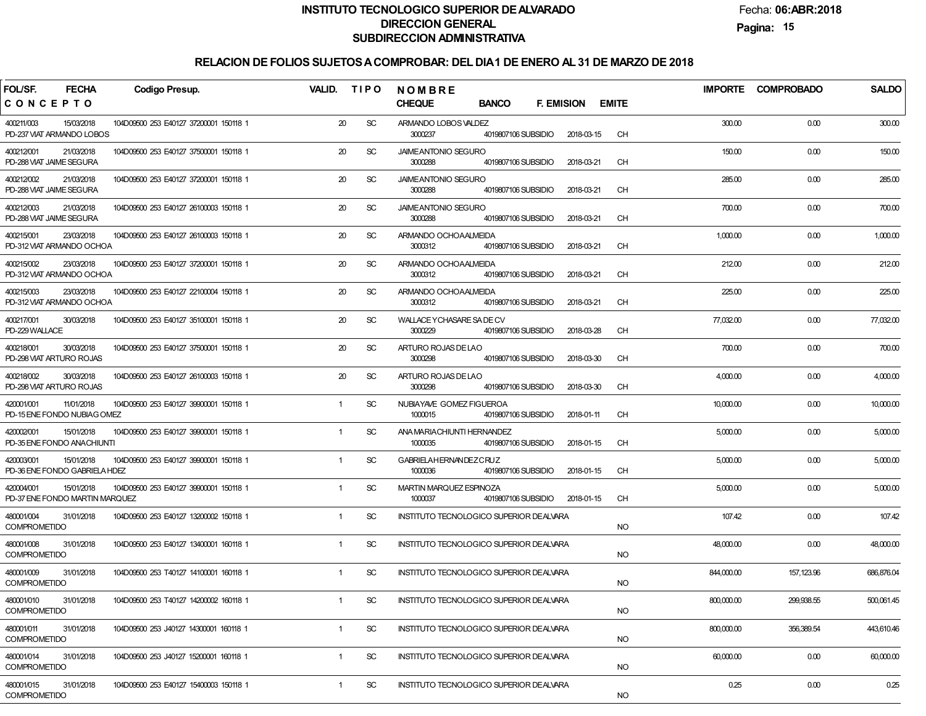Fecha:**06:ABR:2018**

**Pagina:15**

| <b>FECHA</b><br>FOL/SF.                                    | <b>Codigo Presup.</b>                  | VALID.       | <b>TIPO</b> | <b>NOMBRE</b>                                                                |              | <b>IMPORTE</b> | <b>COMPROBADO</b> | <b>SALDO</b> |
|------------------------------------------------------------|----------------------------------------|--------------|-------------|------------------------------------------------------------------------------|--------------|----------------|-------------------|--------------|
| CONCEPTO                                                   |                                        |              |             | <b>CHEQUE</b><br><b>BANCO</b><br><b>F. EMISION</b>                           | <b>EMITE</b> |                |                   |              |
| 400211/003<br>15/03/2018<br>PD-237 VIAT ARMANDO LOBOS      | 104D09500 253 E40127 37200001 150118 1 | 20           | <b>SC</b>   | ARMANDO LOBOS VALDEZ<br>3000237<br>4019807106 SUBSIDIO<br>2018-03-15         | <b>CH</b>    | 300.00         | 0.00              | 300.00       |
| 400212/001<br>21/03/2018<br>PD-288 VIAT JAIME SEGURA       | 104D09500 253 E40127 37500001 150118 1 | 20           | <b>SC</b>   | <b>JAIMEANTONIO SEGURO</b><br>3000288<br>4019807106 SUBSIDIO<br>2018-03-21   | <b>CH</b>    | 150.00         | 0.00              | 150.00       |
| 400212/002<br>21/03/2018<br>PD-288 VIAT JAIME SEGURA       | 104D09500 253 E40127 37200001 150118 1 | 20           | <b>SC</b>   | <b>JAIMEANTONIO SEGURO</b><br>3000288<br>2018-03-21<br>4019807106 SUBSIDIO   | <b>CH</b>    | 285.00         | 0.00              | 285.00       |
| 400212/003<br>21/03/2018<br>PD-288 VIAT JAIME SEGURA       | 104D09500 253 E40127 26100003 150118 1 | 20           | <b>SC</b>   | <b>JAIMEANTONIO SEGURO</b><br>3000288<br>2018-03-21<br>4019807106 SUBSIDIO   | <b>CH</b>    | 700.00         | 0.00              | 700.00       |
| 400215/001<br>23/03/2018<br>PD-312 VIAT ARMANDO OCHOA      | 104D09500 253 E40127 26100003 150118 1 | 20           | <b>SC</b>   | ARMANDO OCHOAALMEIDA<br>3000312<br>4019807106 SUBSIDIO<br>2018-03-21         | <b>CH</b>    | 1,000.00       | 0.00              | 1,000.00     |
| 400215/002<br>23/03/2018<br>PD-312 VIAT ARMANDO OCHOA      | 104D09500 253 E40127 37200001 150118 1 | 20           | <b>SC</b>   | ARMANDO OCHOAALMEIDA<br>3000312<br>4019807106 SUBSIDIO<br>2018-03-21         | <b>CH</b>    | 212.00         | 0.00              | 212.00       |
| 400215/003<br>23/03/2018<br>PD-312 VIAT ARMANDO OCHOA      | 104D09500 253 E40127 22100004 150118 1 | 20           | <b>SC</b>   | ARMANDO OCHOAALMEIDA<br>3000312<br>2018-03-21<br>4019807106 SUBSIDIO         | <b>CH</b>    | 225.00         | 0.00              | 225.00       |
| 400217/001<br>30/03/2018<br>PD-229 WALLACE                 | 104D09500 253 E40127 35100001 150118 1 | 20           | <b>SC</b>   | WALLACE YCHASARE SA DE CV<br>3000229<br>2018-03-28<br>4019807106 SUBSIDIO    | <b>CH</b>    | 77,032.00      | 0.00              | 77,032.00    |
| 30/03/2018<br>400218/001<br>PD-298 VIAT ARTURO ROJAS       | 104D09500 253 E40127 37500001 150118 1 | 20           | <b>SC</b>   | ARTURO ROJAS DE LAO<br>3000298<br>4019807106 SUBSIDIO<br>2018-03-30          | <b>CH</b>    | 700.00         | 0.00              | 700.00       |
| 400218/002<br>30/03/2018<br>PD-298 VIAT ARTURO ROJAS       | 104D09500 253 E40127 26100003 150118 1 | 20           | <b>SC</b>   | ARTURO ROJAS DE LAO<br>3000298<br>4019807106 SUBSIDIO<br>2018-03-30          | <b>CH</b>    | 4,000.00       | 0.00              | 4,000.00     |
| 420001/001<br>11/01/2018<br>PD-15 ENE FONDO NUBIAG OMEZ    | 104D09500 253 E40127 39900001 150118 1 | $\mathbf{1}$ | <b>SC</b>   | NUBIAYAVE GOMEZ FIGUEROA<br>1000015<br>4019807106 SUBSIDIO<br>2018-01-11     | <b>CH</b>    | 10,000.00      | 0.00              | 10,000.00    |
| 420002/001<br>15/01/2018<br>PD-35 ENE FONDO ANACHIUNTI     | 104D09500 253 E40127 39900001 150118 1 | $\mathbf{1}$ | <b>SC</b>   | ANA MARIACHIUNTI HERNANDEZ<br>1000035<br>4019807106 SUBSIDIO<br>2018-01-15   | <b>CH</b>    | 5,000.00       | 0.00              | 5,000.00     |
| 420003/001<br>15/01/2018<br>PD-36 ENE FONDO GABRIELA HDEZ  | 104D09500 253 E40127 39900001 150118 1 | $\mathbf{1}$ | <b>SC</b>   | <b>GABRIELAHERNANDEZCRUZ</b><br>1000036<br>4019807106 SUBSIDIO<br>2018-01-15 | <b>CH</b>    | 5,000.00       | 0.00              | 5,000.00     |
| 420004/001<br>15/01/2018<br>PD-37 ENE FONDO MARTIN MARQUEZ | 104D09500 253 E40127 39900001 150118 1 | 1            | <b>SC</b>   | MARTIN MARQUEZ ESPINOZA<br>1000037<br>4019807106 SUBSIDIO<br>2018-01-15      | <b>CH</b>    | 5,000.00       | 0.00              | 5,000.00     |
| 480001/004<br>31/01/2018<br><b>COMPROMETIDO</b>            | 104D09500 253 E40127 13200002 150118 1 | $\mathbf{1}$ | <b>SC</b>   | INSTITUTO TECNOLOGICO SUPERIOR DE ALVARA                                     | <b>NO</b>    | 107.42         | 0.00              | 107.42       |
| 480001/008<br>31/01/2018<br><b>COMPROMETIDO</b>            | 104D09500 253 E40127 13400001 160118 1 | $\mathbf{1}$ | <b>SC</b>   | <b>INSTITUTO TECNOLOGICO SUPERIOR DE ALVARA</b>                              | <b>NO</b>    | 48,000.00      | 0.00              | 48,000.00    |
| 480001/009<br>31/01/2018<br><b>COMPROMETIDO</b>            | 104D09500 253 T40127 14100001 160118 1 | $\mathbf{1}$ | <b>SC</b>   | <b>INSTITUTO TECNOLOGICO SUPERIOR DE ALVARA</b>                              | <b>NO</b>    | 844,000.00     | 157,123.96        | 686,876.04   |
| 480001/010<br>31/01/2018<br><b>COMPROMETIDO</b>            | 104D09500 253 T40127 14200002 160118 1 |              | SC          | <b>INSTITUTO TECNOLOGICO SUPERIOR DE ALVARA</b>                              | <b>NO</b>    | 800,000.00     | 299,938.55        | 500,061.45   |
| 480001/011<br>31/01/2018<br><b>COMPROMETIDO</b>            | 104D09500 253 J40127 14300001 160118 1 | $\mathbf{1}$ | SC          | INSTITUTO TECNOLOGICO SUPERIOR DE ALVARA                                     | <b>NO</b>    | 800,000.00     | 356,389.54        | 443,610.46   |
| 480001/014<br>31/01/2018<br><b>COMPROMETIDO</b>            | 104D09500 253 J40127 15200001 160118 1 | $\mathbf{1}$ | SC          | INSTITUTO TECNOLOGICO SUPERIOR DEALVARA                                      | <b>NO</b>    | 60,000.00      | 0.00              | 60,000.00    |
| 480001/015<br>31/01/2018<br><b>COMPROMETIDO</b>            | 104D09500 253 E40127 15400003 150118 1 | $\mathbf{1}$ | SC          | INSTITUTO TECNOLOGICO SUPERIOR DE ALVARA                                     | <b>NO</b>    | 0.25           | 0.00              | 0.25         |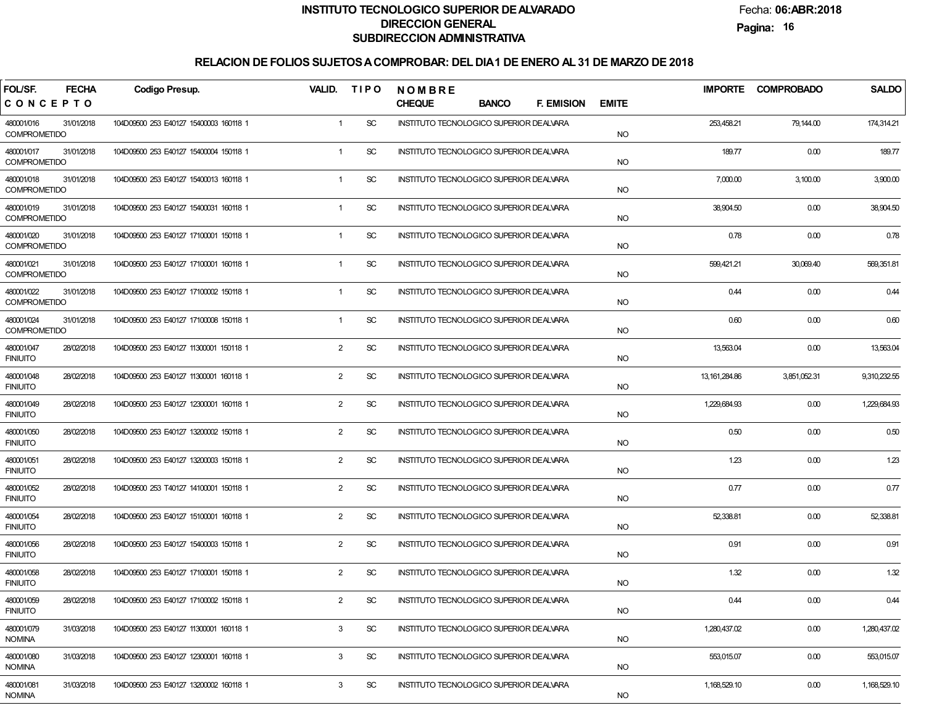Fecha:**06:ABR:2018**

**Pagina:16**

| FOL/SF.                           | <b>FECHA</b> | Codigo Presup.                         | VALID. TIPO    |           | <b>NOMBRE</b>                            |              |                   |              |                 | IMPORTE COMPROBADO | <b>SALDO</b> |
|-----------------------------------|--------------|----------------------------------------|----------------|-----------|------------------------------------------|--------------|-------------------|--------------|-----------------|--------------------|--------------|
| CONCEPTO                          |              |                                        |                |           | <b>CHEQUE</b>                            | <b>BANCO</b> | <b>F. EMISION</b> | <b>EMITE</b> |                 |                    |              |
| 480001/016<br><b>COMPROMETIDO</b> | 31/01/2018   | 104D09500 253 E40127 15400003 160118 1 | $\mathbf{1}$   | <b>SC</b> | INSTITUTO TECNOLOGICO SUPERIOR DEALVARA  |              |                   | <b>NO</b>    | 253,458.21      | 79,144.00          | 174,314.21   |
| 480001/017<br><b>COMPROMETIDO</b> | 31/01/2018   | 104D09500 253 E40127 15400004 150118 1 | $\mathbf{1}$   | <b>SC</b> | INSTITUTO TECNOLOGICO SUPERIOR DEALVARA  |              |                   | <b>NO</b>    | 189.77          | 0.00               | 189.77       |
| 480001/018<br><b>COMPROMETIDO</b> | 31/01/2018   | 104D09500 253 E40127 15400013 160118 1 | $\mathbf{1}$   | <b>SC</b> | INSTITUTO TECNOLOGICO SUPERIOR DE ALVARA |              |                   | <b>NO</b>    | 7,000.00        | 3,100.00           | 3,900.00     |
| 480001/019<br><b>COMPROMETIDO</b> | 31/01/2018   | 104D09500 253 E40127 15400031 160118 1 | $\mathbf{1}$   | <b>SC</b> | INSTITUTO TECNOLOGICO SUPERIOR DE ALVARA |              |                   | <b>NO</b>    | 38,904.50       | 0.00               | 38,904.50    |
| 480001/020<br><b>COMPROMETIDO</b> | 31/01/2018   | 104D09500 253 E40127 17100001 150118 1 | $\mathbf{1}$   | <b>SC</b> | INSTITUTO TECNOLOGICO SUPERIOR DEALVARA  |              |                   | <b>NO</b>    | 0.78            | 0.00               | 0.78         |
| 480001/021<br><b>COMPROMETIDO</b> | 31/01/2018   | 104D09500 253 E40127 17100001 160118 1 | $\mathbf{1}$   | <b>SC</b> | INSTITUTO TECNOLOGICO SUPERIOR DEALVARA  |              |                   | <b>NO</b>    | 599,421.21      | 30,069.40          | 569,351.81   |
| 480001/022<br><b>COMPROMETIDO</b> | 31/01/2018   | 104D09500 253 E40127 17100002 150118 1 | $\mathbf{1}$   | <b>SC</b> | INSTITUTO TECNOLOGICO SUPERIOR DEALVARA  |              |                   | <b>NO</b>    | 0.44            | 0.00               | 0.44         |
| 480001/024<br><b>COMPROMETIDO</b> | 31/01/2018   | 104D09500 253 E40127 17100008 150118 1 | $\mathbf{1}$   | <b>SC</b> | INSTITUTO TECNOLOGICO SUPERIOR DEALVARA  |              |                   | <b>NO</b>    | 0.60            | 0.00               | 0.60         |
| 480001/047<br><b>FINIUITO</b>     | 28/02/2018   | 104D09500 253 E40127 11300001 150118 1 | $\overline{2}$ | <b>SC</b> | INSTITUTO TECNOLOGICO SUPERIOR DE ALVARA |              |                   | <b>NO</b>    | 13,563.04       | 0.00               | 13,563.04    |
| 480001/048<br><b>FINIUITO</b>     | 28/02/2018   | 104D09500 253 E40127 11300001 160118 1 | $\overline{2}$ | <b>SC</b> | INSTITUTO TECNOLOGICO SUPERIOR DEALVARA  |              |                   | <b>NO</b>    | 13, 161, 284.86 | 3,851,052.31       | 9,310,232.55 |
| 480001/049<br><b>FINIUITO</b>     | 28/02/2018   | 104D09500 253 E40127 12300001 160118 1 | $\overline{2}$ | <b>SC</b> | INSTITUTO TECNOLOGICO SUPERIOR DEALVARA  |              |                   | <b>NO</b>    | 1,229,684.93    | 0.00               | 1,229,684.93 |
| 480001/050<br><b>FINIUITO</b>     | 28/02/2018   | 104D09500 253 E40127 13200002 150118 1 | $\overline{2}$ | <b>SC</b> | INSTITUTO TECNOLOGICO SUPERIOR DEALVARA  |              |                   | <b>NO</b>    | 0.50            | 0.00               | 0.50         |
| 480001/051<br><b>FINIUITO</b>     | 28/02/2018   | 104D09500 253 E40127 13200003 150118 1 | $\overline{2}$ | <b>SC</b> | INSTITUTO TECNOLOGICO SUPERIOR DEALVARA  |              |                   | <b>NO</b>    | 1.23            | 0.00               | 1.23         |
| 480001/052<br><b>FINIUITO</b>     | 28/02/2018   | 104D09500 253 T40127 14100001 150118 1 | $\overline{2}$ | <b>SC</b> | INSTITUTO TECNOLOGICO SUPERIOR DEALVARA  |              |                   | <b>NO</b>    | 0.77            | 0.00               | 0.77         |
| 480001/054<br><b>FINIUITO</b>     | 28/02/2018   | 104D09500 253 E40127 15100001 160118 1 | $\overline{2}$ | <b>SC</b> | INSTITUTO TECNOLOGICO SUPERIOR DEALVARA  |              |                   | <b>NO</b>    | 52,338.81       | 0.00               | 52,338.81    |
| 480001/056<br><b>FINIUITO</b>     | 28/02/2018   | 104D09500 253 E40127 15400003 150118 1 | $\overline{2}$ | <b>SC</b> | INSTITUTO TECNOLOGICO SUPERIOR DEALVARA  |              |                   | <b>NO</b>    | 0.91            | 0.00               | 0.91         |
| 480001/058<br><b>FINIUITO</b>     | 28/02/2018   | 104D09500 253 E40127 17100001 150118 1 | $\overline{2}$ | <b>SC</b> | INSTITUTO TECNOLOGICO SUPERIOR DEALVARA  |              |                   | <b>NO</b>    | 1.32            | 0.00               | 1.32         |
| 480001/059<br><b>FINIUITO</b>     | 28/02/2018   | 104D09500 253 E40127 17100002 150118 1 | $\mathcal{P}$  | SC        | INSTITUTO TECNOLOGICO SUPERIOR DE ALVARA |              |                   | <b>NO</b>    | 0.44            | 0.00               | 0.44         |
| 480001/079<br><b>NOMINA</b>       | 31/03/2018   | 104D09500 253 E40127 11300001 160118 1 | 3              | <b>SC</b> | INSTITUTO TECNOLOGICO SUPERIOR DE ALVARA |              |                   | <b>NO</b>    | 1,280,437.02    | 0.00               | 1,280,437.02 |
| 480001/080<br><b>NOMINA</b>       | 31/03/2018   | 104D09500 253 E40127 12300001 160118 1 | 3              | <b>SC</b> | INSTITUTO TECNOLOGICO SUPERIOR DEALVARA  |              |                   | <b>NO</b>    | 553,015.07      | 0.00               | 553,015.07   |
| 480001/081<br><b>NOMINA</b>       | 31/03/2018   | 104D09500 253 E40127 13200002 160118 1 | 3              | SC        | INSTITUTO TECNOLOGICO SUPERIOR DEALVARA  |              |                   | <b>NO</b>    | 1,168,529.10    | 0.00               | 1,168,529.10 |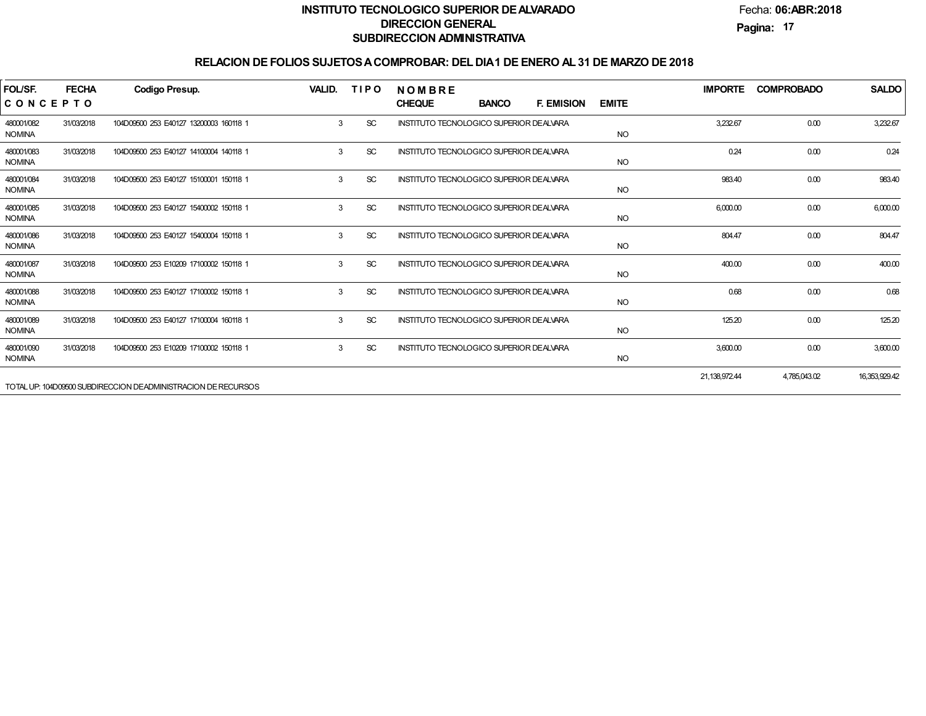Fecha:**06:ABR:2018**

**Pagina:17**

| FOL/SF.                     | <b>FECHA</b> | <b>Codigo Presup.</b>                                         | VALID. | <b>TIPO</b> | <b>NOMBRE</b>                                   |              |                   |              | <b>IMPORTE</b> | <b>COMPROBADO</b> | <b>SALDO</b>  |
|-----------------------------|--------------|---------------------------------------------------------------|--------|-------------|-------------------------------------------------|--------------|-------------------|--------------|----------------|-------------------|---------------|
| CONCEPTO                    |              |                                                               |        |             | <b>CHEQUE</b>                                   | <b>BANCO</b> | <b>F. EMISION</b> | <b>EMITE</b> |                |                   |               |
| 480001/082<br><b>NOMINA</b> | 31/03/2018   | 104D09500 253 E40127 13200003 160118 1                        | 3      | <b>SC</b>   | INSTITUTO TECNOLOGICO SUPERIOR DE ALVARA        |              |                   | <b>NO</b>    | 3.232.67       | 0.00              | 3,232.67      |
| 480001/083<br><b>NOMINA</b> | 31/03/2018   | 104D09500 253 E40127 14100004 140118 1                        | 3      | <b>SC</b>   | INSTITUTO TECNOLOGICO SUPERIOR DE ALVARA        |              |                   | <b>NO</b>    | 0.24           | 0.00              | 0.24          |
| 480001/084<br><b>NOMINA</b> | 31/03/2018   | 104D09500 253 E40127 15100001 150118 1                        | 3      | <b>SC</b>   | <b>INSTITUTO TECNOLOGICO SUPERIOR DE ALVARA</b> |              |                   | <b>NO</b>    | 983.40         | 0.00              | 983.40        |
| 480001/085<br><b>NOMINA</b> | 31/03/2018   | 104D09500 253 E40127 15400002 150118 1                        | 3      | <b>SC</b>   | INSTITUTO TECNOLOGICO SUPERIOR DE ALVARA        |              |                   | <b>NO</b>    | 6,000.00       | 0.00              | 6,000.00      |
| 480001/086<br><b>NOMINA</b> | 31/03/2018   | 104D09500 253 E40127 15400004 150118 1                        | 3      | SC          | INSTITUTO TECNOLOGICO SUPERIOR DEALVARA         |              |                   | <b>NO</b>    | 804.47         | 0.00              | 804.47        |
| 480001/087<br><b>NOMINA</b> | 31/03/2018   | 104D09500 253 E10209 17100002 150118 1                        | 3      | <b>SC</b>   | INSTITUTO TECNOLOGICO SUPERIOR DE ALVARA        |              |                   | <b>NO</b>    | 400.00         | 0.00              | 400.00        |
| 480001/088<br><b>NOMINA</b> | 31/03/2018   | 104D09500 253 E40127 17100002 150118 1                        | 3      | SC          | INSTITUTO TECNOLOGICO SUPERIOR DEALVARA         |              |                   | <b>NO</b>    | 0.68           | 0.00              | 0.68          |
| 480001/089<br><b>NOMINA</b> | 31/03/2018   | 104D09500 253 E40127 17100004 160118 1                        | 3      | SC          | <b>INSTITUTO TECNOLOGICO SUPERIOR DE ALVARA</b> |              |                   | <b>NO</b>    | 125.20         | 0.00              | 125.20        |
| 480001/090<br><b>NOMINA</b> | 31/03/2018   | 104D09500 253 E10209 17100002 150118 1                        | 3      | <b>SC</b>   | <b>INSTITUTO TECNOLOGICO SUPERIOR DE ALVARA</b> |              |                   | <b>NO</b>    | 3,600.00       | 0.00              | 3,600.00      |
|                             |              | TOTAL UP: 104D09500 SUBDIRECCION DEADMINISTRACION DE RECURSOS |        |             |                                                 |              |                   |              | 21,138,972.44  | 4,785,043.02      | 16,353,929.42 |